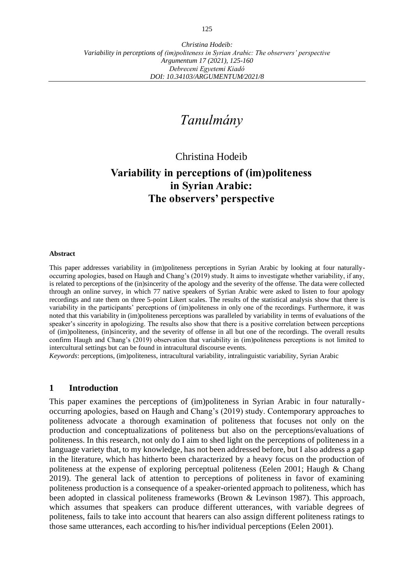# *Tanulmány*

Christina Hodeib

# **Variability in perceptions of (im)politeness in Syrian Arabic: The observers' perspective**

#### **Abstract**

This paper addresses variability in (im)politeness perceptions in Syrian Arabic by looking at four naturallyoccurring apologies, based on Haugh and Chang's (2019) study. It aims to investigate whether variability, if any, is related to perceptions of the (in)sincerity of the apology and the severity of the offense. The data were collected through an online survey, in which 77 native speakers of Syrian Arabic were asked to listen to four apology recordings and rate them on three 5-point Likert scales. The results of the statistical analysis show that there is variability in the participants' perceptions of (im)politeness in only one of the recordings. Furthermore, it was noted that this variability in (im)politeness perceptions was paralleled by variability in terms of evaluations of the speaker's sincerity in apologizing. The results also show that there is a positive correlation between perceptions of (im)politeness, (in)sincerity, and the severity of offense in all but one of the recordings. The overall results confirm Haugh and Chang's (2019) observation that variability in (im)politeness perceptions is not limited to intercultural settings but can be found in intracultural discourse events.

*Keywords*: perceptions, (im)politeness, intracultural variability, intralinguistic variability, Syrian Arabic

#### **1 Introduction**

This paper examines the perceptions of (im)politeness in Syrian Arabic in four naturallyoccurring apologies, based on Haugh and Chang's (2019) study. Contemporary approaches to politeness advocate a thorough examination of politeness that focuses not only on the production and conceptualizations of politeness but also on the perceptions/evaluations of politeness. In this research, not only do I aim to shed light on the perceptions of politeness in a language variety that, to my knowledge, has not been addressed before, but I also address a gap in the literature, which has hitherto been characterized by a heavy focus on the production of politeness at the expense of exploring perceptual politeness (Eelen 2001; Haugh & Chang 2019). The general lack of attention to perceptions of politeness in favor of examining politeness production is a consequence of a speaker-oriented approach to politeness, which has been adopted in classical politeness frameworks (Brown & Levinson 1987). This approach, which assumes that speakers can produce different utterances, with variable degrees of politeness, fails to take into account that hearers can also assign different politeness ratings to those same utterances, each according to his/her individual perceptions (Eelen 2001).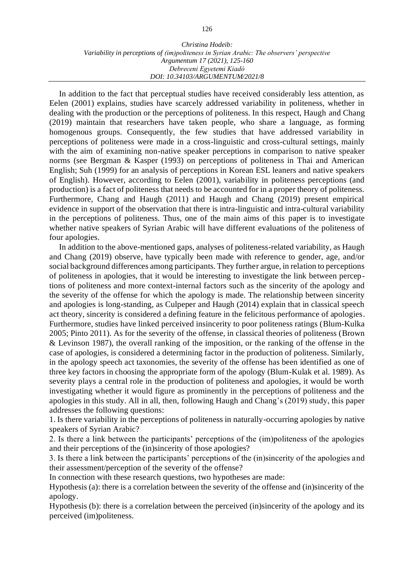In addition to the fact that perceptual studies have received considerably less attention, as Eelen (2001) explains, studies have scarcely addressed variability in politeness, whether in dealing with the production or the perceptions of politeness. In this respect, Haugh and Chang (2019) maintain that researchers have taken people, who share a language, as forming homogenous groups. Consequently, the few studies that have addressed variability in perceptions of politeness were made in a cross-linguistic and cross-cultural settings, mainly with the aim of examining non-native speaker perceptions in comparison to native speaker norms (see Bergman & Kasper (1993) on perceptions of politeness in Thai and American English; Suh (1999) for an analysis of perceptions in Korean ESL leaners and native speakers of English). However, according to Eelen (2001), variability in politeness perceptions (and production) is a fact of politeness that needs to be accounted for in a proper theory of politeness. Furthermore, Chang and Haugh (2011) and Haugh and Chang (2019) present empirical evidence in support of the observation that there is intra-linguistic and intra-cultural variability in the perceptions of politeness. Thus, one of the main aims of this paper is to investigate whether native speakers of Syrian Arabic will have different evaluations of the politeness of four apologies.

In addition to the above-mentioned gaps, analyses of politeness-related variability, as Haugh and Chang (2019) observe, have typically been made with reference to gender, age, and/or social background differences among participants. They further argue, in relation to perceptions of politeness in apologies, that it would be interesting to investigate the link between perceptions of politeness and more context-internal factors such as the sincerity of the apology and the severity of the offense for which the apology is made. The relationship between sincerity and apologies is long-standing, as Culpeper and Haugh (2014) explain that in classical speech act theory, sincerity is considered a defining feature in the felicitous performance of apologies. Furthermore, studies have linked perceived insincerity to poor politeness ratings (Blum-Kulka 2005; Pinto 2011). As for the severity of the offense, in classical theories of politeness (Brown & Levinson 1987), the overall ranking of the imposition, or the ranking of the offense in the case of apologies, is considered a determining factor in the production of politeness. Similarly, in the apology speech act taxonomies, the severity of the offense has been identified as one of three key factors in choosing the appropriate form of the apology (Blum-Kulak et al. 1989). As severity plays a central role in the production of politeness and apologies, it would be worth investigating whether it would figure as prominently in the perceptions of politeness and the apologies in this study. All in all, then, following Haugh and Chang's (2019) study, this paper addresses the following questions:

1. Is there variability in the perceptions of politeness in naturally-occurring apologies by native speakers of Syrian Arabic?

2. Is there a link between the participants' perceptions of the (im)politeness of the apologies and their perceptions of the (in)sincerity of those apologies?

3. Is there a link between the participants' perceptions of the (in)sincerity of the apologies and their assessment/perception of the severity of the offense?

In connection with these research questions, two hypotheses are made:

Hypothesis (a): there is a correlation between the severity of the offense and (in)sincerity of the apology.

Hypothesis (b): there is a correlation between the perceived (in)sincerity of the apology and its perceived (im)politeness.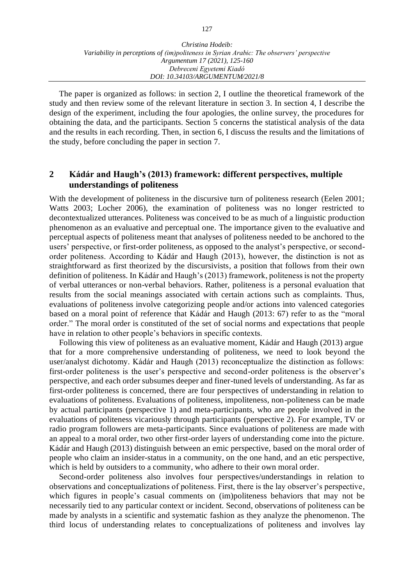The paper is organized as follows: in section 2, I outline the theoretical framework of the study and then review some of the relevant literature in section 3. In section 4, I describe the design of the experiment, including the four apologies, the online survey, the procedures for obtaining the data, and the participants. Section 5 concerns the statistical analysis of the data and the results in each recording. Then, in section 6, I discuss the results and the limitations of the study, before concluding the paper in section 7.

# **2 Kádár and Haugh's (2013) framework: different perspectives, multiple understandings of politeness**

With the development of politeness in the discursive turn of politeness research (Eelen 2001; Watts 2003; Locher 2006), the examination of politeness was no longer restricted to decontextualized utterances. Politeness was conceived to be as much of a linguistic production phenomenon as an evaluative and perceptual one. The importance given to the evaluative and perceptual aspects of politeness meant that analyses of politeness needed to be anchored to the users' perspective, or first-order politeness, as opposed to the analyst's perspective, or secondorder politeness. According to Kádár and Haugh (2013), however, the distinction is not as straightforward as first theorized by the discursivists, a position that follows from their own definition of politeness. In Kádár and Haugh's (2013) framework, politeness is not the property of verbal utterances or non-verbal behaviors. Rather, politeness is a personal evaluation that results from the social meanings associated with certain actions such as complaints. Thus, evaluations of politeness involve categorizing people and/or actions into valenced categories based on a moral point of reference that Kádár and Haugh (2013: 67) refer to as the "moral order." The moral order is constituted of the set of social norms and expectations that people have in relation to other people's behaviors in specific contexts.

Following this view of politeness as an evaluative moment, Kádár and Haugh (2013) argue that for a more comprehensive understanding of politeness, we need to look beyond the user/analyst dichotomy. Kádár and Haugh (2013) reconceptualize the distinction as follows: first-order politeness is the user's perspective and second-order politeness is the observer's perspective, and each order subsumes deeper and finer-tuned levels of understanding. As far as first-order politeness is concerned, there are four perspectives of understanding in relation to evaluations of politeness. Evaluations of politeness, impoliteness, non-politeness can be made by actual participants (perspective 1) and meta-participants, who are people involved in the evaluations of politeness vicariously through participants (perspective 2). For example, TV or radio program followers are meta-participants. Since evaluations of politeness are made with an appeal to a moral order, two other first-order layers of understanding come into the picture. Kádár and Haugh (2013) distinguish between an emic perspective, based on the moral order of people who claim an insider-status in a community, on the one hand, and an etic perspective, which is held by outsiders to a community, who adhere to their own moral order.

Second-order politeness also involves four perspectives/understandings in relation to observations and conceptualizations of politeness. First, there is the lay observer's perspective, which figures in people's casual comments on (im)politeness behaviors that may not be necessarily tied to any particular context or incident. Second, observations of politeness can be made by analysts in a scientific and systematic fashion as they analyze the phenomenon. The third locus of understanding relates to conceptualizations of politeness and involves lay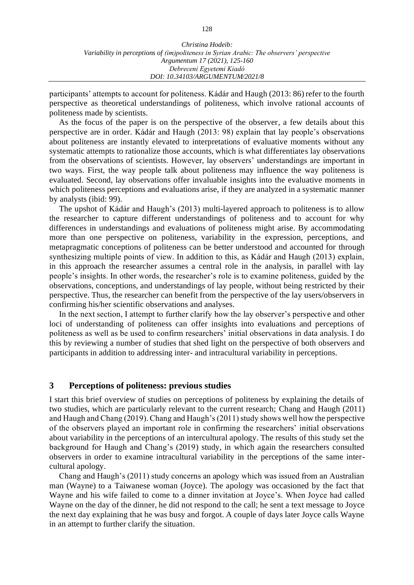participants' attempts to account for politeness. Kádár and Haugh (2013: 86) refer to the fourth perspective as theoretical understandings of politeness, which involve rational accounts of politeness made by scientists.

As the focus of the paper is on the perspective of the observer, a few details about this perspective are in order. Kádár and Haugh (2013: 98) explain that lay people's observations about politeness are instantly elevated to interpretations of evaluative moments without any systematic attempts to rationalize those accounts, which is what differentiates lay observations from the observations of scientists. However, lay observers' understandings are important in two ways. First, the way people talk about politeness may influence the way politeness is evaluated. Second, lay observations offer invaluable insights into the evaluative moments in which politeness perceptions and evaluations arise, if they are analyzed in a systematic manner by analysts (ibid: 99).

The upshot of Kádár and Haugh's (2013) multi-layered approach to politeness is to allow the researcher to capture different understandings of politeness and to account for why differences in understandings and evaluations of politeness might arise. By accommodating more than one perspective on politeness, variability in the expression, perceptions, and metapragmatic conceptions of politeness can be better understood and accounted for through synthesizing multiple points of view. In addition to this, as Kádár and Haugh (2013) explain, in this approach the researcher assumes a central role in the analysis, in parallel with lay people's insights. In other words, the researcher's role is to examine politeness, guided by the observations, conceptions, and understandings of lay people, without being restricted by their perspective. Thus, the researcher can benefit from the perspective of the lay users/observers in confirming his/her scientific observations and analyses.

In the next section, I attempt to further clarify how the lay observer's perspective and other loci of understanding of politeness can offer insights into evaluations and perceptions of politeness as well as be used to confirm researchers' initial observations in data analysis. I do this by reviewing a number of studies that shed light on the perspective of both observers and participants in addition to addressing inter- and intracultural variability in perceptions.

#### **3 Perceptions of politeness: previous studies**

I start this brief overview of studies on perceptions of politeness by explaining the details of two studies, which are particularly relevant to the current research; Chang and Haugh (2011) and Haugh and Chang (2019). Chang and Haugh's (2011) study shows well how the perspective of the observers played an important role in confirming the researchers' initial observations about variability in the perceptions of an intercultural apology. The results of this study set the background for Haugh and Chang's (2019) study, in which again the researchers consulted observers in order to examine intracultural variability in the perceptions of the same intercultural apology.

Chang and Haugh's (2011) study concerns an apology which was issued from an Australian man (Wayne) to a Taiwanese woman (Joyce). The apology was occasioned by the fact that Wayne and his wife failed to come to a dinner invitation at Joyce's. When Joyce had called Wayne on the day of the dinner, he did not respond to the call; he sent a text message to Joyce the next day explaining that he was busy and forgot. A couple of days later Joyce calls Wayne in an attempt to further clarify the situation.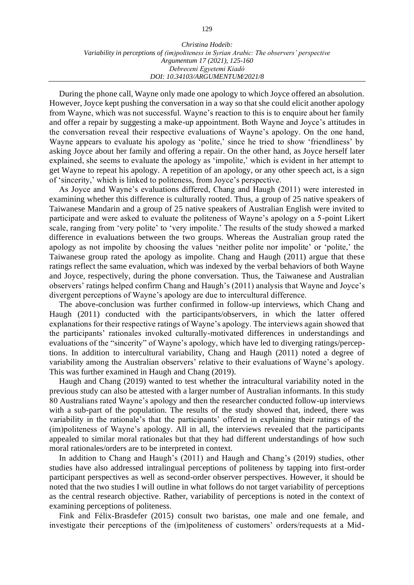During the phone call, Wayne only made one apology to which Joyce offered an absolution. However, Joyce kept pushing the conversation in a way so that she could elicit another apology from Wayne, which was not successful. Wayne's reaction to this is to enquire about her family and offer a repair by suggesting a make-up appointment. Both Wayne and Joyce's attitudes in the conversation reveal their respective evaluations of Wayne's apology. On the one hand, Wayne appears to evaluate his apology as 'polite,' since he tried to show 'friendliness' by asking Joyce about her family and offering a repair. On the other hand, as Joyce herself later explained, she seems to evaluate the apology as 'impolite,' which is evident in her attempt to get Wayne to repeat his apology. A repetition of an apology, or any other speech act, is a sign of 'sincerity,' which is linked to politeness, from Joyce's perspective.

As Joyce and Wayne's evaluations differed, Chang and Haugh (2011) were interested in examining whether this difference is culturally rooted. Thus, a group of 25 native speakers of Taiwanese Mandarin and a group of 25 native speakers of Australian English were invited to participate and were asked to evaluate the politeness of Wayne's apology on a 5-point Likert scale, ranging from 'very polite' to 'very impolite.' The results of the study showed a marked difference in evaluations between the two groups. Whereas the Australian group rated the apology as not impolite by choosing the values 'neither polite nor impolite' or 'polite,' the Taiwanese group rated the apology as impolite. Chang and Haugh (2011) argue that these ratings reflect the same evaluation, which was indexed by the verbal behaviors of both Wayne and Joyce, respectively, during the phone conversation. Thus, the Taiwanese and Australian observers' ratings helped confirm Chang and Haugh's (2011) analysis that Wayne and Joyce's divergent perceptions of Wayne's apology are due to intercultural difference.

The above-conclusion was further confirmed in follow-up interviews, which Chang and Haugh (2011) conducted with the participants/observers, in which the latter offered explanations for their respective ratings of Wayne's apology. The interviews again showed that the participants' rationales invoked culturally-motivated differences in understandings and evaluations of the "sincerity" of Wayne's apology, which have led to diverging ratings/perceptions. In addition to intercultural variability, Chang and Haugh (2011) noted a degree of variability among the Australian observers' relative to their evaluations of Wayne's apology. This was further examined in Haugh and Chang (2019).

Haugh and Chang (2019) wanted to test whether the intracultural variability noted in the previous study can also be attested with a larger number of Australian informants. In this study 80 Australians rated Wayne's apology and then the researcher conducted follow-up interviews with a sub-part of the population. The results of the study showed that, indeed, there was variability in the rationale's that the participants' offered in explaining their ratings of the (im)politeness of Wayne's apology. All in all, the interviews revealed that the participants appealed to similar moral rationales but that they had different understandings of how such moral rationales/orders are to be interpreted in context.

In addition to Chang and Haugh's (2011) and Haugh and Chang's (2019) studies, other studies have also addressed intralingual perceptions of politeness by tapping into first-order participant perspectives as well as second-order observer perspectives. However, it should be noted that the two studies I will outline in what follows do not target variability of perceptions as the central research objective. Rather, variability of perceptions is noted in the context of examining perceptions of politeness.

Fink and Félix-Brasdefer (2015) consult two baristas, one male and one female, and investigate their perceptions of the (im)politeness of customers' orders/requests at a Mid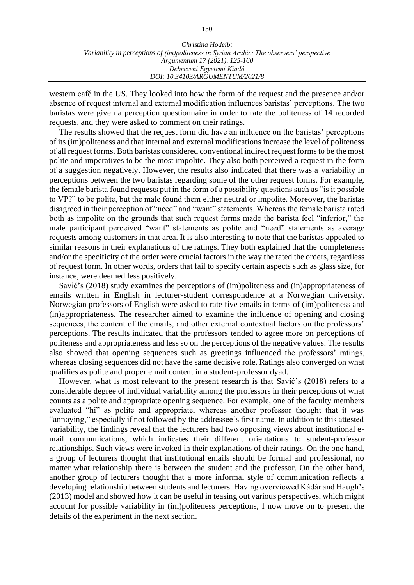western café in the US. They looked into how the form of the request and the presence and/or absence of request internal and external modification influences baristas' perceptions. The two baristas were given a perception questionnaire in order to rate the politeness of 14 recorded requests, and they were asked to comment on their ratings.

The results showed that the request form did have an influence on the baristas' perceptions of its (im)politeness and that internal and external modifications increase the level of politeness of all request forms. Both baristas considered conventional indirect request forms to be the most polite and imperatives to be the most impolite. They also both perceived a request in the form of a suggestion negatively. However, the results also indicated that there was a variability in perceptions between the two baristas regarding some of the other request forms. For example, the female barista found requests put in the form of a possibility questions such as "is it possible to VP?" to be polite, but the male found them either neutral or impolite. Moreover, the baristas disagreed in their perception of "need" and "want" statements. Whereas the female barista rated both as impolite on the grounds that such request forms made the barista feel "inferior," the male participant perceived "want" statements as polite and "need" statements as average requests among customers in that area. It is also interesting to note that the baristas appealed to similar reasons in their explanations of the ratings. They both explained that the completeness and/or the specificity of the order were crucial factors in the way the rated the orders, regardless of request form. In other words, orders that fail to specify certain aspects such as glass size, for instance, were deemed less positively.

Savić's (2018) study examines the perceptions of (im)politeness and (in)appropriateness of emails written in English in lecturer-student correspondence at a Norwegian university. Norwegian professors of English were asked to rate five emails in terms of (im)politeness and (in)appropriateness. The researcher aimed to examine the influence of opening and closing sequences, the content of the emails, and other external contextual factors on the professors' perceptions. The results indicated that the professors tended to agree more on perceptions of politeness and appropriateness and less so on the perceptions of the negative values. The results also showed that opening sequences such as greetings influenced the professors' ratings, whereas closing sequences did not have the same decisive role. Ratings also converged on what qualifies as polite and proper email content in a student-professor dyad.

However, what is most relevant to the present research is that Savić's (2018) refers to a considerable degree of individual variability among the professors in their perceptions of what counts as a polite and appropriate opening sequence. For example, one of the faculty members evaluated "hi" as polite and appropriate, whereas another professor thought that it was "annoying," especially if not followed by the addressee's first name. In addition to this attested variability, the findings reveal that the lecturers had two opposing views about institutional email communications, which indicates their different orientations to student-professor relationships. Such views were invoked in their explanations of their ratings. On the one hand, a group of lecturers thought that institutional emails should be formal and professional, no matter what relationship there is between the student and the professor. On the other hand, another group of lecturers thought that a more informal style of communication reflects a developing relationship between students and lecturers. Having overviewed Kádár and Haugh's (2013) model and showed how it can be useful in teasing out various perspectives, which might account for possible variability in (im)politeness perceptions, I now move on to present the details of the experiment in the next section.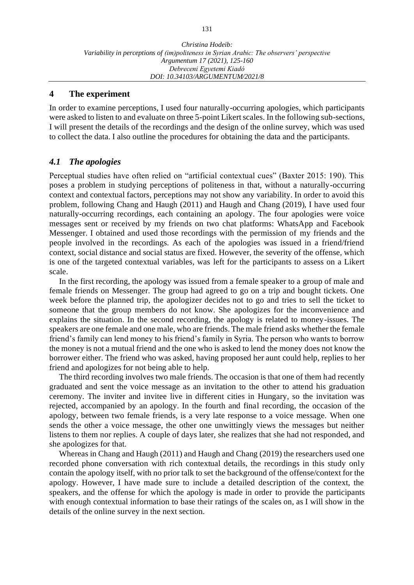### **4 The experiment**

In order to examine perceptions, I used four naturally-occurring apologies, which participants were asked to listen to and evaluate on three 5-point Likert scales. In the following sub-sections, I will present the details of the recordings and the design of the online survey, which was used to collect the data. I also outline the procedures for obtaining the data and the participants.

## *4.1 The apologies*

Perceptual studies have often relied on "artificial contextual cues" (Baxter 2015: 190). This poses a problem in studying perceptions of politeness in that, without a naturally-occurring context and contextual factors, perceptions may not show any variability. In order to avoid this problem, following Chang and Haugh (2011) and Haugh and Chang (2019), I have used four naturally-occurring recordings, each containing an apology. The four apologies were voice messages sent or received by my friends on two chat platforms: WhatsApp and Facebook Messenger. I obtained and used those recordings with the permission of my friends and the people involved in the recordings. As each of the apologies was issued in a friend/friend context, social distance and social status are fixed. However, the severity of the offense, which is one of the targeted contextual variables, was left for the participants to assess on a Likert scale.

In the first recording, the apology was issued from a female speaker to a group of male and female friends on Messenger. The group had agreed to go on a trip and bought tickets. One week before the planned trip, the apologizer decides not to go and tries to sell the ticket to someone that the group members do not know. She apologizes for the inconvenience and explains the situation. In the second recording, the apology is related to money-issues. The speakers are one female and one male, who are friends. The male friend asks whether the female friend's family can lend money to his friend's family in Syria. The person who wants to borrow the money is not a mutual friend and the one who is asked to lend the money does not know the borrower either. The friend who was asked, having proposed her aunt could help, replies to her friend and apologizes for not being able to help.

The third recording involves two male friends. The occasion is that one of them had recently graduated and sent the voice message as an invitation to the other to attend his graduation ceremony. The inviter and invitee live in different cities in Hungary, so the invitation was rejected, accompanied by an apology. In the fourth and final recording, the occasion of the apology, between two female friends, is a very late response to a voice message. When one sends the other a voice message, the other one unwittingly views the messages but neither listens to them nor replies. A couple of days later, she realizes that she had not responded, and she apologizes for that.

Whereas in Chang and Haugh (2011) and Haugh and Chang (2019) the researchers used one recorded phone conversation with rich contextual details, the recordings in this study only contain the apology itself, with no prior talk to set the background of the offense/context for the apology. However, I have made sure to include a detailed description of the context, the speakers, and the offense for which the apology is made in order to provide the participants with enough contextual information to base their ratings of the scales on, as I will show in the details of the online survey in the next section.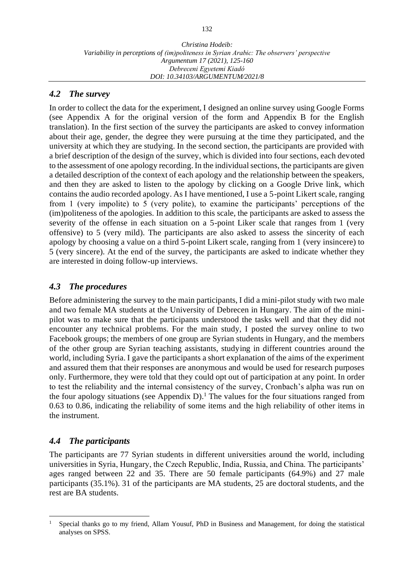# *4.2 The survey*

In order to collect the data for the experiment, I designed an online survey using Google Forms (see Appendix A for the original version of the form and Appendix B for the English translation). In the first section of the survey the participants are asked to convey information about their age, gender, the degree they were pursuing at the time they participated, and the university at which they are studying. In the second section, the participants are provided with a brief description of the design of the survey, which is divided into four sections, each devoted to the assessment of one apology recording. In the individual sections, the participants are given a detailed description of the context of each apology and the relationship between the speakers, and then they are asked to listen to the apology by clicking on a Google Drive link, which contains the audio recorded apology. As I have mentioned, I use a 5-point Likert scale, ranging from 1 (very impolite) to 5 (very polite), to examine the participants' perceptions of the (im)politeness of the apologies. In addition to this scale, the participants are asked to assess the severity of the offense in each situation on a 5-point Liker scale that ranges from 1 (very offensive) to 5 (very mild). The participants are also asked to assess the sincerity of each apology by choosing a value on a third 5-point Likert scale, ranging from 1 (very insincere) to 5 (very sincere). At the end of the survey, the participants are asked to indicate whether they are interested in doing follow-up interviews.

# *4.3 The procedures*

Before administering the survey to the main participants, I did a mini-pilot study with two male and two female MA students at the University of Debrecen in Hungary. The aim of the minipilot was to make sure that the participants understood the tasks well and that they did not encounter any technical problems. For the main study, I posted the survey online to two Facebook groups; the members of one group are Syrian students in Hungary, and the members of the other group are Syrian teaching assistants, studying in different countries around the world, including Syria. I gave the participants a short explanation of the aims of the experiment and assured them that their responses are anonymous and would be used for research purposes only. Furthermore, they were told that they could opt out of participation at any point. In order to test the reliability and the internal consistency of the survey, Cronbach's alpha was run on the four apology situations (see Appendix D). <sup>1</sup> The values for the four situations ranged from 0.63 to 0.86, indicating the reliability of some items and the high reliability of other items in the instrument.

# *4.4 The participants*

The participants are 77 Syrian students in different universities around the world, including universities in Syria, Hungary, the Czech Republic, India, Russia, and China. The participants' ages ranged between 22 and 35. There are 50 female participants (64.9%) and 27 male participants (35.1%). 31 of the participants are MA students, 25 are doctoral students, and the rest are BA students.

<sup>1</sup> Special thanks go to my friend, Allam Yousuf, PhD in Business and Management, for doing the statistical analyses on SPSS.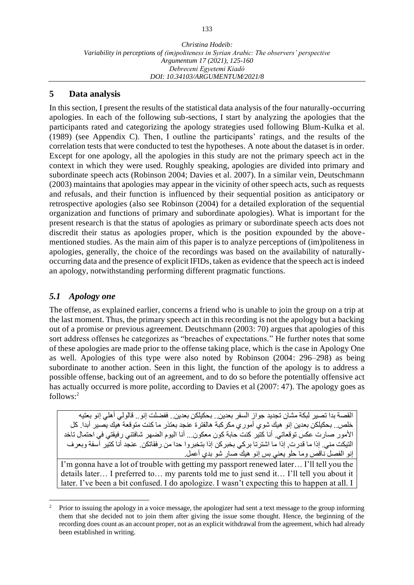## **5 Data analysis**

In this section, I present the results of the statistical data analysis of the four naturally-occurring apologies. In each of the following sub-sections, I start by analyzing the apologies that the participants rated and categorizing the apology strategies used following Blum-Kulka et al. (1989) (see Appendix C). Then, I outline the participants' ratings, and the results of the correlation tests that were conducted to test the hypotheses. A note about the dataset is in order. Except for one apology, all the apologies in this study are not the primary speech act in the context in which they were used. Roughly speaking, apologies are divided into primary and subordinate speech acts (Robinson 2004; Davies et al. 2007). In a similar vein, Deutschmann (2003) maintains that apologies may appear in the vicinity of other speech acts, such as requests and refusals, and their function is influenced by their sequential position as anticipatory or retrospective apologies (also see Robinson (2004) for a detailed exploration of the sequential organization and functions of primary and subordinate apologies). What is important for the present research is that the status of apologies as primary or subordinate speech acts does not discredit their status as apologies proper, which is the position expounded by the abovementioned studies. As the main aim of this paper is to analyze perceptions of (im)politeness in apologies, generally, the choice of the recordings was based on the availability of naturallyoccurring data and the presence of explicit IFIDs, taken as evidence that the speech act is indeed an apology, notwithstanding performing different pragmatic functions.

## *5.1 Apology one*

The offense, as explained earlier, concerns a friend who is unable to join the group on a trip at the last moment. Thus, the primary speech act in this recording is not the apology but a backing out of a promise or previous agreement. Deutschmann (2003: 70) argues that apologies of this sort address offenses he categorizes as "breaches of expectations." He further notes that some of these apologies are made prior to the offense taking place, which is the case in Apology One as well. Apologies of this type were also noted by Robinson (2004: 296–298) as being subordinate to another action. Seen in this light, the function of the apology is to address a possible offense, backing out of an agreement, and to do so before the potentially offensive act has actually occurred is more polite, according to Davies et al (2007: 47). The apology goes as follows:<sup>2</sup>

القصة بدا تصير لبكة مشان تجديد جواز السفر بعدين.. بحكيلكن بعدين.. ففضلت إنو.. قالولي أهلي إنو بعتيه خلص.. بحكيلكن بعدين إنو هيك شوي أموري مكركبة هالفترة عنجد بعتذر ما كنت متوقعة هيك يصير أبدا. كل األمور صارت عكس توقعاتي. أنا كتير كنت حابة كون معكون... أنا اليوم الضهر شافتني رفيقتي في احتمال تاخد التيكت مني. إذا ما قدرت, إذا ما اشترتا بركي بخبركن إذا بتخبروا حدا من رفقاتكن. عنجد أنا كتير آسفة وبعرف إنو الفصل ناقص وما حلو يعني بس إنو هيك صار شو بدي أعمل.

I'm gonna have a lot of trouble with getting my passport renewed later… I'll tell you the details later… I preferred to… my parents told me to just send it… I'll tell you about it later. I've been a bit confused. I do apologize. I wasn't expecting this to happen at all. I

<sup>&</sup>lt;sup>2</sup> Prior to issuing the apology in a voice message, the apologizer had sent a text message to the group informing them that she decided not to join them after giving the issue some thought. Hence, the beginning of the recording does count as an account proper, not as an explicit withdrawal from the agreement, which had already been established in writing.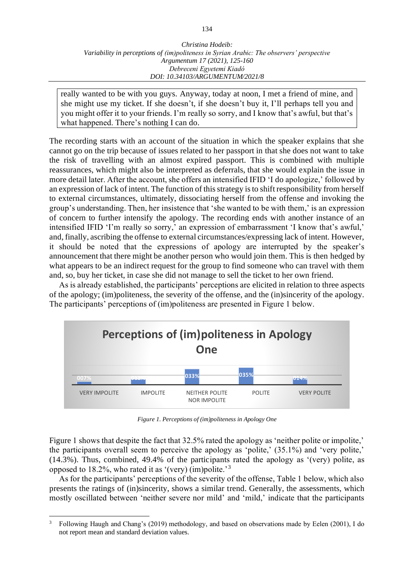really wanted to be with you guys. Anyway, today at noon, I met a friend of mine, and she might use my ticket. If she doesn't, if she doesn't buy it, I'll perhaps tell you and you might offer it to your friends. I'm really so sorry, and I know that's awful, but that's what happened. There's nothing I can do.

The recording starts with an account of the situation in which the speaker explains that she cannot go on the trip because of issues related to her passport in that she does not want to take the risk of travelling with an almost expired passport. This is combined with multiple reassurances, which might also be interpreted as deferrals, that she would explain the issue in more detail later. After the account, she offers an intensified IFID 'I do apologize,' followed by an expression of lack of intent. The function of this strategy is to shift responsibility from herself to external circumstances, ultimately, dissociating herself from the offense and invoking the group's understanding. Then, her insistence that 'she wanted to be with them,' is an expression of concern to further intensify the apology. The recording ends with another instance of an intensified IFID 'I'm really so sorry,' an expression of embarrassment 'I know that's awful,' and, finally, ascribing the offense to external circumstances/expressing lack of intent. However, it should be noted that the expressions of apology are interrupted by the speaker's announcement that there might be another person who would join them. This is then hedged by what appears to be an indirect request for the group to find someone who can travel with them and, so, buy her ticket, in case she did not manage to sell the ticket to her own friend.

As is already established, the participants' perceptions are elicited in relation to three aspects of the apology; (im)politeness, the severity of the offense, and the (in)sincerity of the apology. The participants' perceptions of (im)politeness are presented in Figure 1 below.



*Figure 1. Perceptions of (im)politeness in Apology One*

Figure 1 shows that despite the fact that 32.5% rated the apology as 'neither polite or impolite,' the participants overall seem to perceive the apology as 'polite,' (35.1%) and 'very polite,' (14.3%). Thus, combined, 49.4% of the participants rated the apology as '(very) polite, as opposed to 18.2%, who rated it as '(very) (im)polite.<sup>3</sup>

As for the participants' perceptions of the severity of the offense, Table 1 below, which also presents the ratings of (in)sincerity, shows a similar trend. Generally, the assessments, which mostly oscillated between 'neither severe nor mild' and 'mild,' indicate that the participants

<sup>&</sup>lt;sup>3</sup> Following Haugh and Chang's (2019) methodology, and based on observations made by Eelen (2001), I do not report mean and standard deviation values.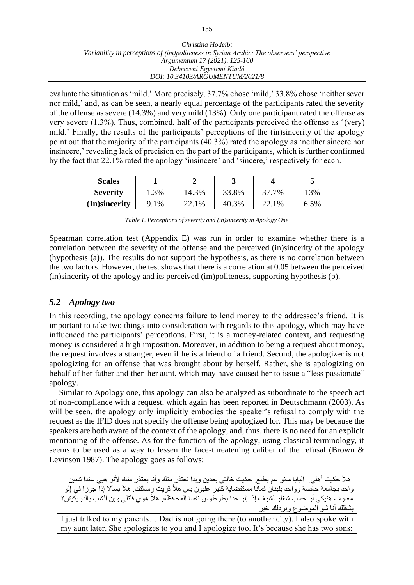evaluate the situation as 'mild.' More precisely, 37.7% chose 'mild,' 33.8% chose 'neither sever nor mild,' and, as can be seen, a nearly equal percentage of the participants rated the severity of the offense as severe (14.3%) and very mild (13%). Only one participant rated the offense as very severe (1.3%). Thus, combined, half of the participants perceived the offense as '(very) mild.' Finally, the results of the participants' perceptions of the (in)sincerity of the apology point out that the majority of the participants (40.3%) rated the apology as 'neither sincere nor insincere,' revealing lack of precision on the part of the participants, which is further confirmed by the fact that 22.1% rated the apology 'insincere' and 'sincere,' respectively for each.

| <b>Scales</b>   |      |       | ີ     |       |      |
|-----------------|------|-------|-------|-------|------|
| <b>Severity</b> | 1.3% | 14.3% | 33.8% | 37.7% | 13%  |
| (In)sincerity   | 9.1% | 22.1% | 40.3% | 22.1% | 6.5% |

|  |  | Table 1. Perceptions of severity and (in)sincerity in Apology One |
|--|--|-------------------------------------------------------------------|
|  |  |                                                                   |

Spearman correlation test (Appendix E) was run in order to examine whether there is a correlation between the severity of the offense and the perceived (in)sincerity of the apology (hypothesis (a)). The results do not support the hypothesis, as there is no correlation between the two factors. However, the test shows that there is a correlation at 0.05 between the perceived (in)sincerity of the apology and its perceived (im)politeness, supporting hypothesis (b).

## *5.2 Apology two*

In this recording, the apology concerns failure to lend money to the addressee's friend. It is important to take two things into consideration with regards to this apology, which may have influenced the participants' perceptions. First, it is a money-related context, and requesting money is considered a high imposition. Moreover, in addition to being a request about money, the request involves a stranger, even if he is a friend of a friend. Second, the apologizer is not apologizing for an offense that was brought about by herself. Rather, she is apologizing on behalf of her father and then her aunt, which may have caused her to issue a "less passionate" apology.

Similar to Apology one, this apology can also be analyzed as subordinate to the speech act of non-compliance with a request, which again has been reported in Deutschmann (2003). As will be seen, the apology only implicitly embodies the speaker's refusal to comply with the request as the IFID does not specify the offense being apologized for. This may be because the speakers are both aware of the context of the apology, and, thus, there is no need for an explicit mentioning of the offense. As for the function of the apology, using classical terminology, it seems to be used as a way to lessen the face-threatening caliber of the refusal (Brown & Levinson 1987). The apology goes as follows:

هلأ حكيت أهلي.. البابا مانو عم يطلع. حكيت خالتي بعدين وبدا تعتذر منك وأنا بعتذر منك لأنو هيي عندا شبين واحد بجامعة خاصة وواحد بلبنان فمانا مستفضاية كتير عليون بس هلأ قريت رسالتك. هلأ بسألا إذا جوزا في إلو معارف هنيكي أو حسب شغلو لشوف إذا إلو حدا بطرطوس نفسا المحافظة. هلأ هوي قلتلي وين الشب بالدريكيش؟ بشفلك أنا شو الموضوع وبردلك خبر.

I just talked to my parents… Dad is not going there (to another city). I also spoke with my aunt later. She apologizes to you and I apologize too. It's because she has two sons;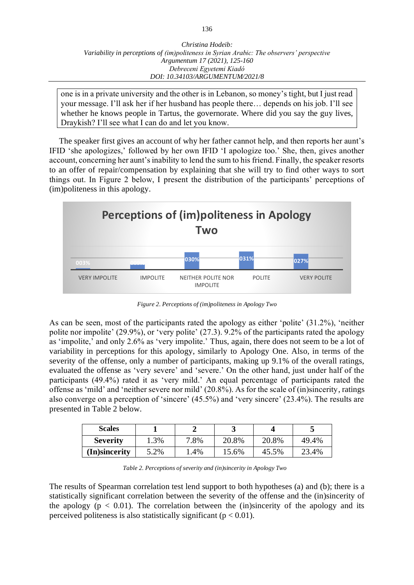one is in a private university and the other is in Lebanon, so money's tight, but I just read your message. I'll ask her if her husband has people there… depends on his job. I'll see whether he knows people in Tartus, the governorate. Where did you say the guy lives, Draykish? I'll see what I can do and let you know.

The speaker first gives an account of why her father cannot help, and then reports her aunt's IFID 'she apologizes,' followed by her own IFID 'I apologize too.' She, then, gives another account, concerning her aunt's inability to lend the sum to his friend. Finally, the speaker resorts to an offer of repair/compensation by explaining that she will try to find other ways to sort things out. In Figure 2 below, I present the distribution of the participants' perceptions of (im)politeness in this apology.



*Figure 2. Perceptions of (im)politeness in Apology Two*

As can be seen, most of the participants rated the apology as either 'polite' (31.2%), 'neither polite nor impolite' (29.9%), or 'very polite' (27.3). 9.2% of the participants rated the apology as 'impolite,' and only 2.6% as 'very impolite.' Thus, again, there does not seem to be a lot of variability in perceptions for this apology, similarly to Apology One. Also, in terms of the severity of the offense, only a number of participants, making up 9.1% of the overall ratings, evaluated the offense as 'very severe' and 'severe.' On the other hand, just under half of the participants (49.4%) rated it as 'very mild.' An equal percentage of participants rated the offense as 'mild' and 'neither severe nor mild' (20.8%). As for the scale of (in)sincerity, ratings also converge on a perception of 'sincere' (45.5%) and 'very sincere' (23.4%). The results are presented in Table 2 below.

| <b>Scales</b>   |      |      |       |       |       |
|-----------------|------|------|-------|-------|-------|
| <b>Severity</b> | 1.3% | 7.8% | 20.8% | 20.8% | 49.4% |
| (In)sincerity   | 5.2% | 1.4% | 15.6% | 45.5% | 23.4% |

*Table 2. Perceptions of severity and (in)sincerity in Apology Two*

The results of Spearman correlation test lend support to both hypotheses (a) and (b); there is a statistically significant correlation between the severity of the offense and the (in)sincerity of the apology ( $p < 0.01$ ). The correlation between the (in)sincerity of the apology and its perceived politeness is also statistically significant ( $p < 0.01$ ).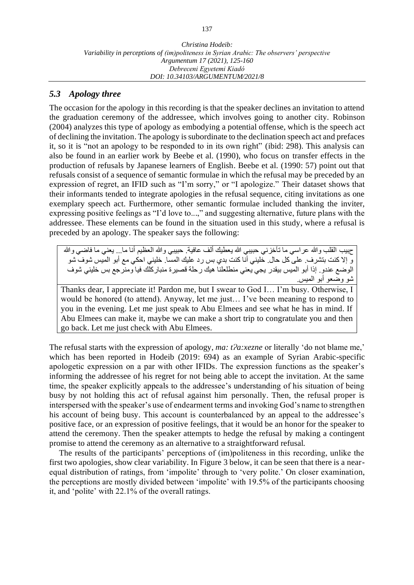# *5.3 Apology three*

The occasion for the apology in this recording is that the speaker declines an invitation to attend the graduation ceremony of the addressee, which involves going to another city. Robinson (2004) analyzes this type of apology as embodying a potential offense, which is the speech act of declining the invitation. The apology is subordinate to the declination speech act and prefaces it, so it is "not an apology to be responded to in its own right" (ibid: 298). This analysis can also be found in an earlier work by Beebe et al. (1990), who focus on transfer effects in the production of refusals by Japanese learners of English. Beebe et al. (1990: 57) point out that refusals consist of a sequence of semantic formulae in which the refusal may be preceded by an expression of regret, an IFID such as "I'm sorry," or "I apologize." Their dataset shows that their informants tended to integrate apologies in the refusal sequence, citing invitations as one exemplary speech act. Furthermore, other semantic formulae included thanking the inviter, expressing positive feelings as "I'd love to...," and suggesting alternative, future plans with the addressee. These elements can be found in the situation used in this study, where a refusal is preceded by an apology. The speaker says the following:

حبيب القلب والله عراسي ما تآخزني حبيبي الله يعطيك ألف عافية. حبيبي والله العظيم أنا ما... يعني ما فاضي والله و إال كنت بتشرف. على كل حال. خليني أنا كنت بدي بس رد عليك المسا. خليني احكي مع أبو الميس شوف شو الوضع عندو. إذا أبو الميس بيقدر يجي يعني منطلعلنا هيك رحلة قصيرة منباركلك فيا ومنرجع بس خليني شوف شو وضعو أبو الميس.

Thanks dear, I appreciate it! Pardon me, but I swear to God I… I'm busy. Otherwise, I would be honored (to attend). Anyway, let me just… I've been meaning to respond to you in the evening. Let me just speak to Abu Elmees and see what he has in mind. If Abu Elmees can make it, maybe we can make a short trip to congratulate you and then go back. Let me just check with Abu Elmees.

The refusal starts with the expression of apology, *ma: t?a:xezne* or literally 'do not blame me,' which has been reported in Hodeib (2019: 694) as an example of Syrian Arabic-specific apologetic expression on a par with other IFIDs. The expression functions as the speaker's informing the addressee of his regret for not being able to accept the invitation. At the same time, the speaker explicitly appeals to the addressee's understanding of his situation of being busy by not holding this act of refusal against him personally. Then, the refusal proper is interspersed with the speaker's use of endearment terms and invoking God's name to strengthen his account of being busy. This account is counterbalanced by an appeal to the addressee's positive face, or an expression of positive feelings, that it would be an honor for the speaker to attend the ceremony. Then the speaker attempts to hedge the refusal by making a contingent promise to attend the ceremony as an alternative to a straightforward refusal.

The results of the participants' perceptions of (im)politeness in this recording, unlike the first two apologies, show clear variability. In Figure 3 below, it can be seen that there is a nearequal distribution of ratings, from 'impolite' through to 'very polite.' On closer examination, the perceptions are mostly divided between 'impolite' with 19.5% of the participants choosing it, and 'polite' with 22.1% of the overall ratings.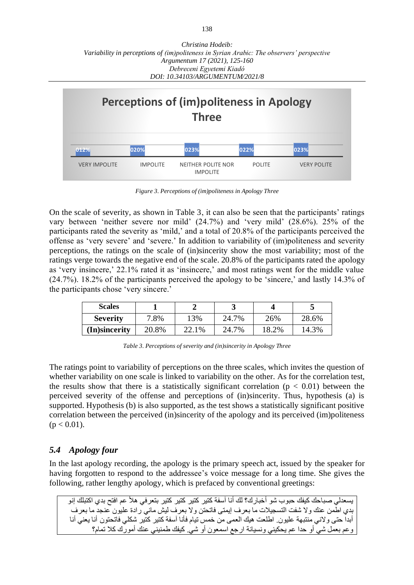

*Figure 3. Perceptions of (im)politeness in Apology Three*

On the scale of severity, as shown in Table 3, it can also be seen that the participants' ratings vary between 'neither severe nor mild' (24.7%) and 'very mild' (28.6%). 25% of the participants rated the severity as 'mild,' and a total of 20.8% of the participants perceived the offense as 'very severe' and 'severe.' In addition to variability of (im)politeness and severity perceptions, the ratings on the scale of (in)sincerity show the most variability; most of the ratings verge towards the negative end of the scale. 20.8% of the participants rated the apology as 'very insincere,' 22.1% rated it as 'insincere,' and most ratings went for the middle value (24.7%). 18.2% of the participants perceived the apology to be 'sincere,' and lastly 14.3% of the participants chose 'very sincere.'

| <b>Scales</b>   |       |       |       |       |       |
|-----------------|-------|-------|-------|-------|-------|
| <b>Severity</b> | 7.8%  | 13%   | 24.7% | 26%   | 28.6% |
| (In)sincerity   | 20.8% | 22.1% | 24.7% | 18.2% | 14.3% |

*Table 3. Perceptions of severity and (in)sincerity in Apology Three*

The ratings point to variability of perceptions on the three scales, which invites the question of whether variability on one scale is linked to variability on the other. As for the correlation test, the results show that there is a statistically significant correlation ( $p < 0.01$ ) between the perceived severity of the offense and perceptions of (in)sincerity. Thus, hypothesis (a) is supported. Hypothesis (b) is also supported, as the test shows a statistically significant positive correlation between the perceived (in)sincerity of the apology and its perceived (im)politeness  $(p < 0.01)$ .

# *5.4 Apology four*

In the last apology recording, the apology is the primary speech act, issued by the speaker for having forgotten to respond to the addressee's voice message for a long time. She gives the following, rather lengthy apology, which is prefaced by conventional greetings:

يسعدلي صباحك كيفك حبوب شو أخبارك؟ لك أنا آسفة كتير كتير كتير كتير بتعرفي هأل عم افتح بدي اكتبلك إنو بدي اطمن عنك وال شفت التسجيالت ما بعرف إيمتى فاتحتن وال بعرف ليش ماني رادة عليون عنجد ما بعرف أبدا حتى والني منتبهة عليون. اطلعت هيك العمى من خمس تيام فأنا آسفة كتير كتير شكلي فاتحتون أنا يعني أنا وعم بعمل شي أو حدا عم يحكيني ونسيانة ارجع اسمعون أو شي. كيفك طمنيني عنك أمورك كال تمام؟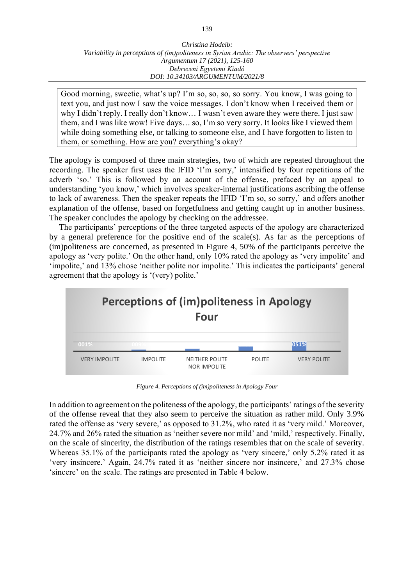Good morning, sweetie, what's up? I'm so, so, so, so sorry. You know, I was going to text you, and just now I saw the voice messages. I don't know when I received them or why I didn't reply. I really don't know… I wasn't even aware they were there. I just saw them, and I was like wow! Five days… so, I'm so very sorry. It looks like I viewed them while doing something else, or talking to someone else, and I have forgotten to listen to them, or something. How are you? everything's okay?

The apology is composed of three main strategies, two of which are repeated throughout the recording. The speaker first uses the IFID 'I'm sorry,' intensified by four repetitions of the adverb 'so.' This is followed by an account of the offense, prefaced by an appeal to understanding 'you know,' which involves speaker-internal justifications ascribing the offense to lack of awareness. Then the speaker repeats the IFID 'I'm so, so sorry,' and offers another explanation of the offense, based on forgetfulness and getting caught up in another business. The speaker concludes the apology by checking on the addressee.

The participants' perceptions of the three targeted aspects of the apology are characterized by a general preference for the positive end of the scale(s). As far as the perceptions of (im)politeness are concerned, as presented in Figure 4, 50% of the participants perceive the apology as 'very polite.' On the other hand, only 10% rated the apology as 'very impolite' and 'impolite,' and 13% chose 'neither polite nor impolite.' This indicates the participants' general agreement that the apology is '(very) polite.'



*Figure 4. Perceptions of (im)politeness in Apology Four*

In addition to agreement on the politeness of the apology, the participants' ratings of the severity of the offense reveal that they also seem to perceive the situation as rather mild. Only 3.9% rated the offense as 'very severe,' as opposed to 31.2%, who rated it as 'very mild.' Moreover, 24.7% and 26% rated the situation as 'neither severe nor mild' and 'mild,' respectively. Finally, on the scale of sincerity, the distribution of the ratings resembles that on the scale of severity. Whereas 35.1% of the participants rated the apology as 'very sincere,' only 5.2% rated it as 'very insincere.' Again, 24.7% rated it as 'neither sincere nor insincere,' and 27.3% chose 'sincere' on the scale. The ratings are presented in Table 4 below.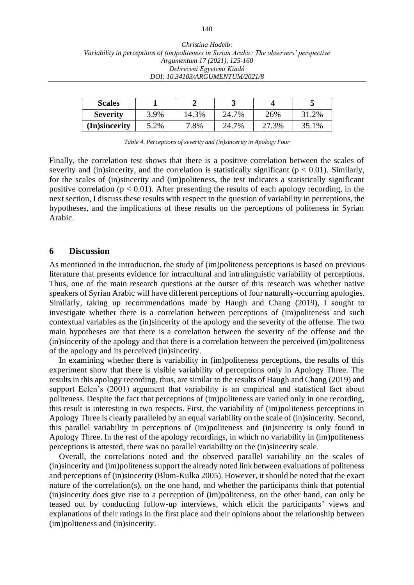| <b>Scales</b>   |      |       | ັ     |       |       |
|-----------------|------|-------|-------|-------|-------|
| <b>Severity</b> | 3.9% | 14.3% | 24.7% | 26%   | 31.2% |
| (In)sincerity   | 5.2% | 7.8%  | 24.7% | 27.3% | 35.1% |

*Table 4. Perceptions of severity and (in)sincerity in Apology Four*

Finally, the correlation test shows that there is a positive correlation between the scales of severity and (in)sincerity, and the correlation is statistically significant ( $p < 0.01$ ). Similarly, for the scales of (in)sincerity and (im)politeness, the test indicates a statistically significant positive correlation ( $p < 0.01$ ). After presenting the results of each apology recording, in the next section, I discuss these results with respect to the question of variability in perceptions, the hypotheses, and the implications of these results on the perceptions of politeness in Syrian Arabic.

#### **6 Discussion**

As mentioned in the introduction, the study of (im)politeness perceptions is based on previous literature that presents evidence for intracultural and intralinguistic variability of perceptions. Thus, one of the main research questions at the outset of this research was whether native speakers of Syrian Arabic will have different perceptions of four naturally-occurring apologies. Similarly, taking up recommendations made by Haugh and Chang (2019), I sought to investigate whether there is a correlation between perceptions of (im)politeness and such contextual variables as the (in)sincerity of the apology and the severity of the offense. The two main hypotheses are that there is a correlation between the severity of the offense and the (in)sincerity of the apology and that there is a correlation between the perceived (im)politeness of the apology and its perceived (in)sincerity.

In examining whether there is variability in (im)politeness perceptions, the results of this experiment show that there is visible variability of perceptions only in Apology Three. The results in this apology recording, thus, are similar to the results of Haugh and Chang (2019) and support Eelen's (2001) argument that variability is an empirical and statistical fact about politeness. Despite the fact that perceptions of (im)politeness are varied only in one recording, this result is interesting in two respects. First, the variability of (im)politeness perceptions in Apology Three is clearly paralleled by an equal variability on the scale of (in)sincerity. Second, this parallel variability in perceptions of (im)politeness and (in)sincerity is only found in Apology Three. In the rest of the apology recordings, in which no variability in (im)politeness perceptions is attested, there was no parallel variability on the (in)sincerity scale.

Overall, the correlations noted and the observed parallel variability on the scales of (in)sincerity and (im)politeness support the already noted link between evaluations of politeness and perceptions of (in)sincerity (Blum-Kulka 2005). However, it should be noted that the exact nature of the correlation(s), on the one hand, and whether the participants think that potential (in)sincerity does give rise to a perception of (im)politeness, on the other hand, can only be teased out by conducting follow-up interviews, which elicit the participants' views and explanations of their ratings in the first place and their opinions about the relationship between (im)politeness and (in)sincerity.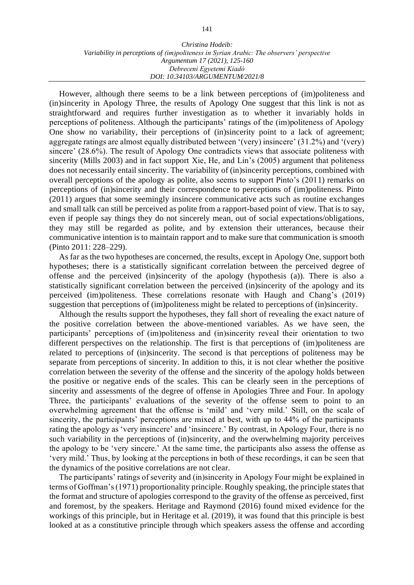However, although there seems to be a link between perceptions of (im)politeness and (in)sincerity in Apology Three, the results of Apology One suggest that this link is not as straightforward and requires further investigation as to whether it invariably holds in perceptions of politeness. Although the participants' ratings of the (im)politeness of Apology One show no variability, their perceptions of (in)sincerity point to a lack of agreement; aggregate ratings are almost equally distributed between '(very) insincere' (31.2%) and '(very) sincere' (28.6%). The result of Apology One contradicts views that associate politeness with sincerity (Mills 2003) and in fact support Xie, He, and Lin's (2005) argument that politeness does not necessarily entail sincerity. The variability of (in)sincerity perceptions, combined with overall perceptions of the apology as polite, also seems to support Pinto's (2011) remarks on perceptions of (in)sincerity and their correspondence to perceptions of (im)politeness. Pinto (2011) argues that some seemingly insincere communicative acts such as routine exchanges and small talk can still be perceived as polite from a rapport-based point of view. That is to say, even if people say things they do not sincerely mean, out of social expectations/obligations, they may still be regarded as polite, and by extension their utterances, because their communicative intention is to maintain rapport and to make sure that communication is smooth (Pinto 2011: 228–229).

As far as the two hypotheses are concerned, the results, except in Apology One, support both hypotheses; there is a statistically significant correlation between the perceived degree of offense and the perceived (in)sincerity of the apology (hypothesis (a)). There is also a statistically significant correlation between the perceived (in)sincerity of the apology and its perceived (im)politeness. These correlations resonate with Haugh and Chang's (2019) suggestion that perceptions of (im)politeness might be related to perceptions of (in)sincerity.

Although the results support the hypotheses, they fall short of revealing the exact nature of the positive correlation between the above-mentioned variables. As we have seen, the participants' perceptions of (im)politeness and (in)sincerity reveal their orientation to two different perspectives on the relationship. The first is that perceptions of (im)politeness are related to perceptions of (in)sincerity. The second is that perceptions of politeness may be separate from perceptions of sincerity. In addition to this, it is not clear whether the positive correlation between the severity of the offense and the sincerity of the apology holds between the positive or negative ends of the scales. This can be clearly seen in the perceptions of sincerity and assessments of the degree of offense in Apologies Three and Four. In apology Three, the participants' evaluations of the severity of the offense seem to point to an overwhelming agreement that the offense is 'mild' and 'very mild.' Still, on the scale of sincerity, the participants' perceptions are mixed at best, with up to 44% of the participants rating the apology as 'very insincere' and 'insincere.' By contrast, in Apology Four, there is no such variability in the perceptions of (in)sincerity, and the overwhelming majority perceives the apology to be 'very sincere.' At the same time, the participants also assess the offense as 'very mild.' Thus, by looking at the perceptions in both of these recordings, it can be seen that the dynamics of the positive correlations are not clear.

The participants' ratings of severity and (in)sincerity in Apology Four might be explained in terms of Goffman's (1971) proportionality principle. Roughly speaking, the principle states that the format and structure of apologies correspond to the gravity of the offense as perceived, first and foremost, by the speakers. Heritage and Raymond (2016) found mixed evidence for the workings of this principle, but in Heritage et al. (2019), it was found that this principle is best looked at as a constitutive principle through which speakers assess the offense and according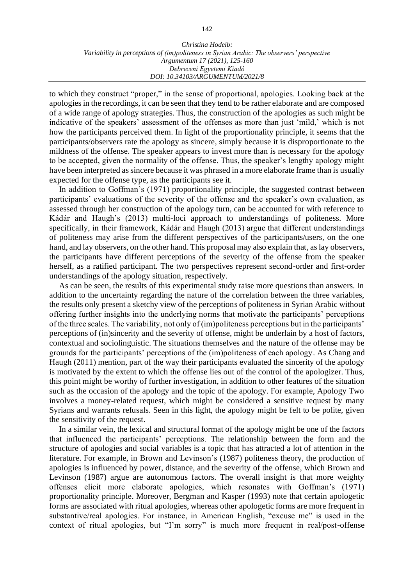to which they construct "proper," in the sense of proportional, apologies. Looking back at the apologies in the recordings, it can be seen that they tend to be rather elaborate and are composed of a wide range of apology strategies. Thus, the construction of the apologies as such might be indicative of the speakers' assessment of the offenses as more than just 'mild,' which is not how the participants perceived them. In light of the proportionality principle, it seems that the participants/observers rate the apology as sincere, simply because it is disproportionate to the mildness of the offense. The speaker appears to invest more than is necessary for the apology to be accepted, given the normality of the offense. Thus, the speaker's lengthy apology might have been interpreted as sincere because it was phrased in a more elaborate frame than is usually expected for the offense type, as the participants see it.

In addition to Goffman's (1971) proportionality principle, the suggested contrast between participants' evaluations of the severity of the offense and the speaker's own evaluation, as assessed through her construction of the apology turn, can be accounted for with reference to Kádár and Haugh's (2013) multi-loci approach to understandings of politeness. More specifically, in their framework, Kádár and Haugh (2013) argue that different understandings of politeness may arise from the different perspectives of the participants/users, on the one hand, and lay observers, on the other hand. This proposal may also explain that, as lay observers, the participants have different perceptions of the severity of the offense from the speaker herself, as a ratified participant. The two perspectives represent second-order and first-order understandings of the apology situation, respectively.

As can be seen, the results of this experimental study raise more questions than answers. In addition to the uncertainty regarding the nature of the correlation between the three variables, the results only present a sketchy view of the perceptions of politeness in Syrian Arabic without offering further insights into the underlying norms that motivate the participants' perceptions of the three scales. The variability, not only of (im)politeness perceptions but in the participants' perceptions of (in)sincerity and the severity of offense, might be underlain by a host of factors, contextual and sociolinguistic. The situations themselves and the nature of the offense may be grounds for the participants' perceptions of the (im)politeness of each apology. As Chang and Haugh (2011) mention, part of the way their participants evaluated the sincerity of the apology is motivated by the extent to which the offense lies out of the control of the apologizer. Thus, this point might be worthy of further investigation, in addition to other features of the situation such as the occasion of the apology and the topic of the apology. For example, Apology Two involves a money-related request, which might be considered a sensitive request by many Syrians and warrants refusals. Seen in this light, the apology might be felt to be polite, given the sensitivity of the request.

In a similar vein, the lexical and structural format of the apology might be one of the factors that influenced the participants' perceptions. The relationship between the form and the structure of apologies and social variables is a topic that has attracted a lot of attention in the literature. For example, in Brown and Levinson's (1987) politeness theory, the production of apologies is influenced by power, distance, and the severity of the offense, which Brown and Levinson (1987) argue are autonomous factors. The overall insight is that more weighty offenses elicit more elaborate apologies, which resonates with Goffman's (1971) proportionality principle. Moreover, Bergman and Kasper (1993) note that certain apologetic forms are associated with ritual apologies, whereas other apologetic forms are more frequent in substantive/real apologies. For instance, in American English, "excuse me" is used in the context of ritual apologies, but "I'm sorry" is much more frequent in real/post-offense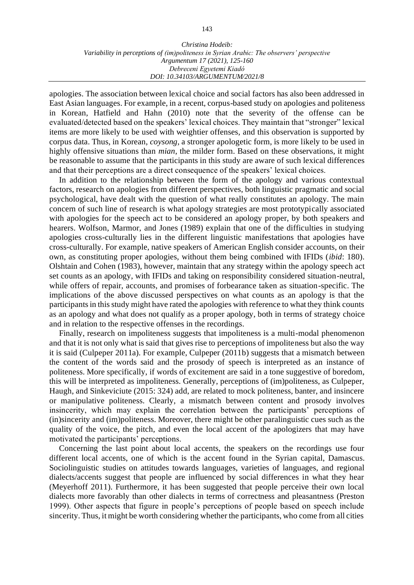apologies. The association between lexical choice and social factors has also been addressed in East Asian languages. For example, in a recent, corpus-based study on apologies and politeness in Korean, Hatfield and Hahn (2010) note that the severity of the offense can be evaluated/detected based on the speakers' lexical choices. They maintain that "stronger" lexical items are more likely to be used with weightier offenses, and this observation is supported by corpus data. Thus, in Korean, *coysong*, a stronger apologetic form, is more likely to be used in highly offensive situations than *mian*, the milder form. Based on these observations, it might be reasonable to assume that the participants in this study are aware of such lexical differences and that their perceptions are a direct consequence of the speakers' lexical choices.

In addition to the relationship between the form of the apology and various contextual factors, research on apologies from different perspectives, both linguistic pragmatic and social psychological, have dealt with the question of what really constitutes an apology. The main concern of such line of research is what apology strategies are most prototypically associated with apologies for the speech act to be considered an apology proper, by both speakers and hearers. Wolfson, Marmor, and Jones (1989) explain that one of the difficulties in studying apologies cross-culturally lies in the different linguistic manifestations that apologies have cross-culturally. For example, native speakers of American English consider accounts, on their own, as constituting proper apologies, without them being combined with IFIDs (*ibid*: 180). Olshtain and Cohen (1983), however, maintain that any strategy within the apology speech act set counts as an apology, with IFIDs and taking on responsibility considered situation-neutral, while offers of repair, accounts, and promises of forbearance taken as situation-specific. The implications of the above discussed perspectives on what counts as an apology is that the participants in this study might have rated the apologies with reference to what they think counts as an apology and what does not qualify as a proper apology, both in terms of strategy choice and in relation to the respective offenses in the recordings.

Finally, research on impoliteness suggests that impoliteness is a multi-modal phenomenon and that it is not only what is said that gives rise to perceptions of impoliteness but also the way it is said (Culpeper 2011a). For example, Culpeper (2011b) suggests that a mismatch between the content of the words said and the prosody of speech is interpreted as an instance of politeness. More specifically, if words of excitement are said in a tone suggestive of boredom, this will be interpreted as impoliteness. Generally, perceptions of (im)politeness, as Culpeper, Haugh, and Sinkeviciute (2015: 324) add, are related to mock politeness, banter, and insincere or manipulative politeness. Clearly, a mismatch between content and prosody involves insincerity, which may explain the correlation between the participants' perceptions of (in)sincerity and (im)politeness. Moreover, there might be other paralinguistic cues such as the quality of the voice, the pitch, and even the local accent of the apologizers that may have motivated the participants' perceptions.

Concerning the last point about local accents, the speakers on the recordings use four different local accents, one of which is the accent found in the Syrian capital, Damascus. Sociolinguistic studies on attitudes towards languages, varieties of languages, and regional dialects/accents suggest that people are influenced by social differences in what they hear (Meyerhoff 2011). Furthermore, it has been suggested that people perceive their own local dialects more favorably than other dialects in terms of correctness and pleasantness (Preston 1999). Other aspects that figure in people's perceptions of people based on speech include sincerity. Thus, it might be worth considering whether the participants, who come from all cities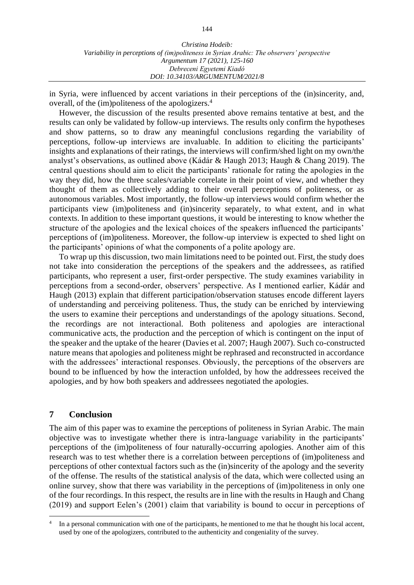in Syria, were influenced by accent variations in their perceptions of the (in)sincerity, and, overall, of the (im)politeness of the apologizers.<sup>4</sup>

However, the discussion of the results presented above remains tentative at best, and the results can only be validated by follow-up interviews. The results only confirm the hypotheses and show patterns, so to draw any meaningful conclusions regarding the variability of perceptions, follow-up interviews are invaluable. In addition to eliciting the participants' insights and explanations of their ratings, the interviews will confirm/shed light on my own/the analyst's observations, as outlined above (Kádár & Haugh 2013; Haugh & Chang 2019). The central questions should aim to elicit the participants' rationale for rating the apologies in the way they did, how the three scales/variable correlate in their point of view, and whether they thought of them as collectively adding to their overall perceptions of politeness, or as autonomous variables. Most importantly, the follow-up interviews would confirm whether the participants view (im)politeness and (in)sincerity separately, to what extent, and in what contexts. In addition to these important questions, it would be interesting to know whether the structure of the apologies and the lexical choices of the speakers influenced the participants' perceptions of (im)politeness. Moreover, the follow-up interview is expected to shed light on the participants' opinions of what the components of a polite apology are.

To wrap up this discussion, two main limitations need to be pointed out. First, the study does not take into consideration the perceptions of the speakers and the addressees, as ratified participants, who represent a user, first-order perspective. The study examines variability in perceptions from a second-order, observers' perspective. As I mentioned earlier, Kádár and Haugh (2013) explain that different participation/observation statuses encode different layers of understanding and perceiving politeness. Thus, the study can be enriched by interviewing the users to examine their perceptions and understandings of the apology situations. Second, the recordings are not interactional. Both politeness and apologies are interactional communicative acts, the production and the perception of which is contingent on the input of the speaker and the uptake of the hearer (Davies et al. 2007; Haugh 2007). Such co-constructed nature means that apologies and politeness might be rephrased and reconstructed in accordance with the addressees' interactional responses. Obviously, the perceptions of the observers are bound to be influenced by how the interaction unfolded, by how the addressees received the apologies, and by how both speakers and addressees negotiated the apologies.

## **7 Conclusion**

The aim of this paper was to examine the perceptions of politeness in Syrian Arabic. The main objective was to investigate whether there is intra-language variability in the participants' perceptions of the (im)politeness of four naturally-occurring apologies. Another aim of this research was to test whether there is a correlation between perceptions of (im)politeness and perceptions of other contextual factors such as the (in)sincerity of the apology and the severity of the offense. The results of the statistical analysis of the data, which were collected using an online survey, show that there was variability in the perceptions of (im)politeness in only one of the four recordings. In this respect, the results are in line with the results in Haugh and Chang (2019) and support Eelen's (2001) claim that variability is bound to occur in perceptions of

<sup>4</sup> In a personal communication with one of the participants, he mentioned to me that he thought his local accent, used by one of the apologizers, contributed to the authenticity and congeniality of the survey.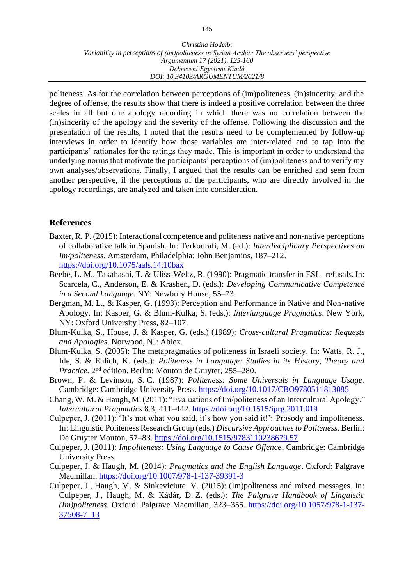politeness. As for the correlation between perceptions of (im)politeness, (in)sincerity, and the degree of offense, the results show that there is indeed a positive correlation between the three scales in all but one apology recording in which there was no correlation between the (in)sincerity of the apology and the severity of the offense. Following the discussion and the presentation of the results, I noted that the results need to be complemented by follow-up interviews in order to identify how those variables are inter-related and to tap into the participants' rationales for the ratings they made. This is important in order to understand the underlying norms that motivate the participants' perceptions of (im)politeness and to verify my own analyses/observations. Finally, I argued that the results can be enriched and seen from another perspective, if the perceptions of the participants, who are directly involved in the apology recordings, are analyzed and taken into consideration.

# **References**

- Baxter, R. P. (2015): Interactional competence and politeness native and non-native perceptions of collaborative talk in Spanish. In: Terkourafi, M. (ed.): *Interdisciplinary Perspectives on Im/politeness*. Amsterdam, Philadelphia: John Benjamins, 187–212. <https://doi.org/10.1075/aals.14.10bax>
- Beebe, L. M., Takahashi, T. & Uliss-Weltz, R. (1990): Pragmatic transfer in ESL refusals. In: Scarcela, C., Anderson, E. & Krashen, D. (eds.): *Developing Communicative Competence in a Second Language.* NY: Newbury House, 55–73.
- Bergman, M. L., & Kasper, G. (1993): Perception and Performance in Native and Non-native Apology. In: Kasper, G. & Blum-Kulka, S. (eds.): *Interlanguage Pragmatics*. New York, NY: Oxford University Press, 82–107.
- Blum-Kulka, S., House, J. & Kasper, G. (eds.) (1989): *Cross-cultural Pragmatics: Requests and Apologies*. Norwood, NJ: Ablex.
- Blum-Kulka, S. (2005): The metapragmatics of politeness in Israeli society. In: Watts, R. J., Ide, S. & Ehlich, K. (eds.): *Politeness in Language: Studies in its History, Theory and* Practice. 2<sup>nd</sup> edition. Berlin: Mouton de Gruyter, 255-280.
- Brown, P. & Levinson, S. C. (1987): *Politeness: Some Universals in Language Usage*. Cambridge: Cambridge University Press. <https://doi.org/10.1017/CBO9780511813085>
- Chang, W. M. & Haugh, M. (2011): "Evaluations of Im/politeness of an Intercultural Apology." *Intercultural Pragmatics* 8.3, 411–442. <https://doi.org/10.1515/iprg.2011.019>
- Culpeper, J. (2011): 'It's not what you said, it's how you said it!': Prosody and impoliteness. In: Linguistic Politeness Research Group (eds.) *Discursive Approaches to Politeness*. Berlin: De Gruyter Mouton, 57–83. <https://doi.org/10.1515/9783110238679.57>
- Culpeper, J. (2011): *Impoliteness: Using Language to Cause Offence*. Cambridge: Cambridge University Press.
- Culpeper, J. & Haugh, M. (2014): *Pragmatics and the English Language*. Oxford: Palgrave Macmillan. <https://doi.org/10.1007/978-1-137-39391-3>
- Culpeper, J., Haugh, M. & Sinkeviciute, V. (2015): (Im)politeness and mixed messages. In: Culpeper, J., Haugh, M. & Kádár, D. Z. (eds.): *The Palgrave Handbook of Linguistic (Im)politeness*. Oxford: Palgrave Macmillan, 323–355. [https://doi.org/10.1057/978-1-137-](https://doi.org/10.1057/978-1-137-37508-7_13) [37508-7\\_13](https://doi.org/10.1057/978-1-137-37508-7_13)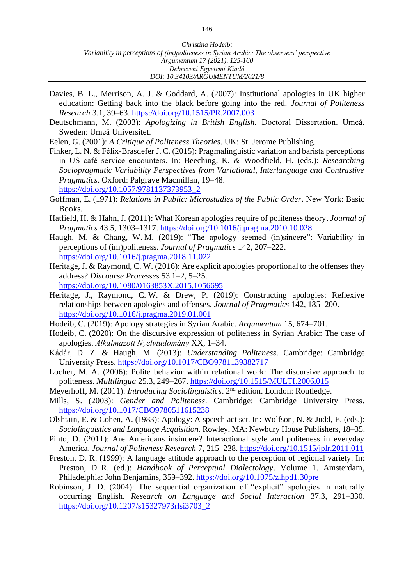- Davies, B. L., Merrison, A. J. & Goddard, A. (2007): Institutional apologies in UK higher education: Getting back into the black before going into the red. *Journal of Politeness Research* 3.1, 39–63. <https://doi.org/10.1515/PR.2007.003>
- Deutschmann, M. (2003): *Apologizing in British English.* Doctoral Dissertation. Umeå, Sweden: Umeå Universitet.
- Eelen, G. (2001): *A Critique of Politeness Theories*. UK: St. Jerome Publishing.
- Finker, L. N. & Félix-Brasdefer J. C. (2015): Pragmalinguistic variation and barista perceptions in US café service encounters. In: Beeching, K. & Woodfield, H. (eds.): *Researching Sociopragmatic Variability Perspectives from Variational, Interlanguage and Contrastive Pragmatics*. Oxford: Palgrave Macmillan, 19–48. [https://doi.org/10.1057/9781137373953\\_2](https://doi.org/10.1057/9781137373953_2)
- Goffman, E. (1971): *Relations in Public: Microstudies of the Public Order*. New York: Basic Books.
- Hatfield, H. & Hahn, J. (2011): What Korean apologies require of politeness theory. *Journal of Pragmatics* 43.5, 1303–1317. <https://doi.org/10.1016/j.pragma.2010.10.028>
- Haugh, M. & Chang, W. M. (2019): "The apology seemed (in)sincere": Variability in perceptions of (im)politeness. *Journal of Pragmatics* 142, 207–222. <https://doi.org/10.1016/j.pragma.2018.11.022>
- Heritage, J. & Raymond, C. W. (2016): Are explicit apologies proportional to the offenses they address? *Discourse Processes* 53.1–2, 5–25. <https://doi.org/10.1080/0163853X.2015.1056695>
- Heritage, J., Raymond, C. W. & Drew, P. (2019): Constructing apologies: Reflexive relationships between apologies and offenses. *Journal of Pragmatics* 142, 185–200. <https://doi.org/10.1016/j.pragma.2019.01.001>
- Hodeib, C. (2019): Apology strategies in Syrian Arabic. *Argumentum* 15, 674–701.
- Hodeib, C. (2020): On the discursive expression of politeness in Syrian Arabic: The case of apologies. *Alkalmazott Nyelvtudomány* XX, 1–34.
- Kádár, D. Z. & Haugh, M. (2013): *Understanding Politeness*. Cambridge: Cambridge University Press. <https://doi.org/10.1017/CBO9781139382717>
- Locher, M. A. (2006): Polite behavior within relational work: The discursive approach to politeness. *Multilingua* 25.3, 249–267. <https://doi.org/10.1515/MULTI.2006.015>
- Meyerhoff, M. (2011): *Introducing Sociolinguistics*. 2<sup>nd</sup> edition. London: Routledge.
- Mills, S. (2003): *Gender and Politeness*. Cambridge: Cambridge University Press. <https://doi.org/10.1017/CBO9780511615238>
- Olshtain, E. & Cohen, A. (1983): Apology: A speech act set. In: Wolfson, N. & Judd, E. (eds.): *Sociolinguistics and Language Acquisition.* Rowley, MA: Newbury House Publishers*,* 18–35.
- Pinto, D. (2011): Are Americans insincere? Interactional style and politeness in everyday America. *Journal of Politeness Research* 7, 215–238. <https://doi.org/10.1515/jplr.2011.011>
- Preston, D. R. (1999): A language attitude approach to the perception of regional variety. In: Preston, D. R. (ed.): *Handbook of Perceptual Dialectology*. Volume 1. Amsterdam, Philadelphia: John Benjamins, 359–392.<https://doi.org/10.1075/z.hpd1.30pre>
- Robinson, J. D. (2004): The sequential organization of "explicit" apologies in naturally occurring English. *Research on Language and Social Interaction* 37.3, 291–330. [https://doi.org/10.1207/s15327973rlsi3703\\_2](https://doi.org/10.1207/s15327973rlsi3703_2)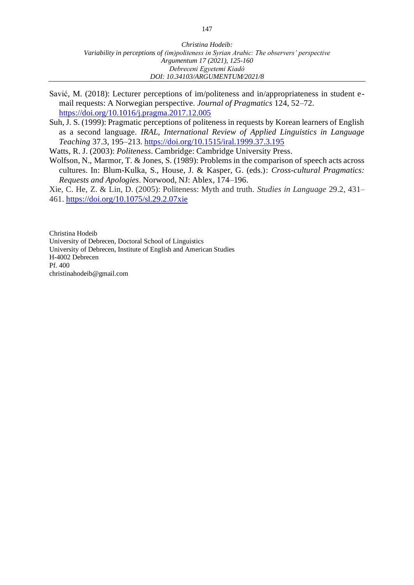- Savić, M. (2018): Lecturer perceptions of im/politeness and in/appropriateness in student email requests: A Norwegian perspective. *Journal of Pragmatics* 124, 52–72. <https://doi.org/10.1016/j.pragma.2017.12.005>
- Suh, J. S. (1999): Pragmatic perceptions of politeness in requests by Korean learners of English as a second language. *IRAL, International Review of Applied Linguistics in Language Teaching* 37.3, 195–213. <https://doi.org/10.1515/iral.1999.37.3.195>

Watts, R. J. (2003): *Politeness*. Cambridge: Cambridge University Press.

- Wolfson, N., Marmor, T. & Jones, S. (1989): Problems in the comparison of speech acts across cultures. In: Blum-Kulka, S., House, J. & Kasper, G. (eds.): *Cross-cultural Pragmatics: Requests and Apologies*. Norwood, NJ: Ablex, 174–196.
- Xie, C. He, Z. & Lin, D. (2005): Politeness: Myth and truth. *Studies in Language* 29.2, 431– 461. <https://doi.org/10.1075/sl.29.2.07xie>

Christina Hodeib University of Debrecen, Doctoral School of Linguistics University of Debrecen, Institute of English and American Studies H-4002 Debrecen Pf. 400 christinahodeib@gmail.com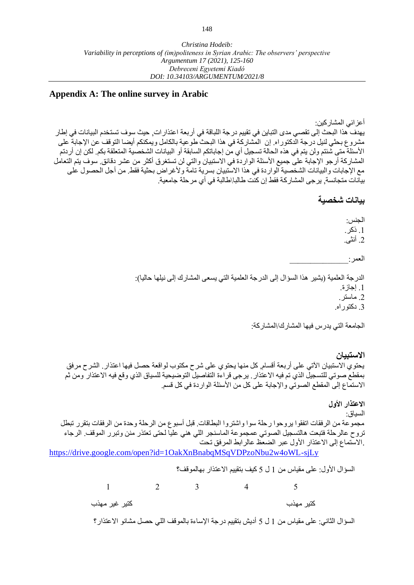## **Appendix A: The online survey in Arabic**

أعزائي المشاركين: يهدف هذا البحث إلى تقصي مدى التباين في تقييم درجة اللباقة في أربعة اعتذارات, حيث سوف تستخدم البيانات في إطار مشروع بحثي لنيل درجة الدكتوراه. إن المشاركة في هذا البحث طوعية بالكامل ويمكنكم أيضا التوقف عن اإلجابة على األسئلة متى شئتم ولن يتم في هذه الحالة تسجيل أي من إجاباتكم السابقة أو البيانات الشخصية المتعلقة بكم. لكن إن أردتم المشاركة أرجو اإلجابة على جميع األسئلة الواردة في االستبيان والتي لن تستغرق أكثر من عشر دقائق. سوف يتم التعامل مع الإجابات والبيانات الشخصية الواردة في هذا الاستبيان بسرية تامة ولأغراض بحثية فقط. من أجل الحصول على بيانات متجانسة, يرجى المشارك ة فقط إن كنت طالبا\طالبة في أي مرحلة جامعية.

## **بيانات شخصية**

الجنس: .1 ذكر. .2 أنثى.

العمر :

الدرجة العلمية (يشير هذا السؤال إلى الدرجة العلمية التي يسعى المشارك إلى نيلها حاليا): .1 إجازة. .2 ماستر. .3 دكتوراه.

الجامعة التي يدرس فيها المشارك/المشاركة:

**االستبيان**  يحتوي االستبيان اآلتي على أربعة أقسام, كل منها يحتوي على شرح مكتوب لواقعة حصل فيها اعتذار. الشرح مرفق بمقطع صوتي للتسجيل الذي تم فيه االعتذار. يرجى قراءة التفاصيل التوضيحية للسياق الذي وقع فيه االعتذار ومن ثم االستماع إلى المقطع الصوتي واإلجابة على كل من األسئلة الواردة في كل قسم.

**االعتذار األول**  السياق: مجموعة من الرفقات اتفقوا يروحوا رحلة سوا واشتروا البطاقات. قبل أسبوع من الرحلة وحدة من الرفقات بتقرر تبطل تروح عالرحلة فتبعت هالتسجيل الصوتي عمجموعة الماسنجر اللي هني عليا لحتى تعتذر منن وتبرر الموقف. الرجاء .االستماع إلى االعتذار األول عبر الضعظ عالرابط المرفق تحت

<https://drive.google.com/open?id=1OakXnBnabqMSqVDPzoNbu2w4oWL-sjLy>

السؤال الأول: على مقياس من 1 ل 5 كيف بتقييم الاعتذار بهالموقف؟

1 2 3 4 5 كتير مهذب كتير غير مهذب

السؤال الثاني: على مقياس من 1 ل 5 أديش بتقييم درجة اإلساءة بالموقف اللي حصل مشانو االعتذار؟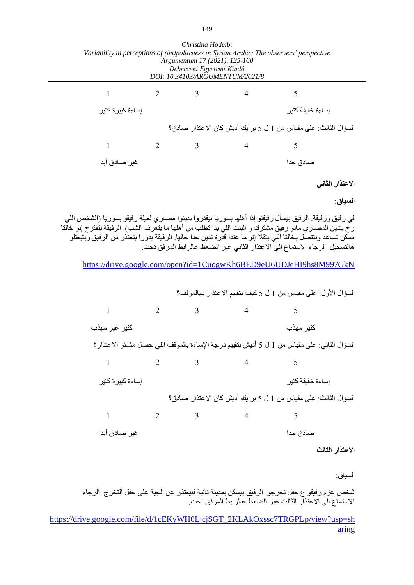| Christina Hodeib:<br>Variability in perceptions of (im)politeness in Syrian Arabic: The observers' perspective<br>Argumentum 17 (2021), 125-160<br>Debreceni Egyetemi Kiadó<br>DOI: 10.34103/ARGUMENTUM/2021/8                                                                                                                                                                                                           |                |   |                |                                                                                               |                 |
|--------------------------------------------------------------------------------------------------------------------------------------------------------------------------------------------------------------------------------------------------------------------------------------------------------------------------------------------------------------------------------------------------------------------------|----------------|---|----------------|-----------------------------------------------------------------------------------------------|-----------------|
| 1                                                                                                                                                                                                                                                                                                                                                                                                                        | $\overline{2}$ | 3 | 4              | 5                                                                                             |                 |
| إساءة كبير ة كتير                                                                                                                                                                                                                                                                                                                                                                                                        |                |   |                | إساءة خفيفة كتير                                                                              |                 |
|                                                                                                                                                                                                                                                                                                                                                                                                                          |                |   |                | السؤال الثالث: على مقياس من 1 ل 5 بر أيك أديش كان الاعتذار صادق؟                              |                 |
| $\mathbf{1}$                                                                                                                                                                                                                                                                                                                                                                                                             | 2              | 3 | $\overline{4}$ | 5                                                                                             |                 |
| غير صادق أبدا                                                                                                                                                                                                                                                                                                                                                                                                            |                |   |                | صادق جدا                                                                                      |                 |
|                                                                                                                                                                                                                                                                                                                                                                                                                          |                |   |                |                                                                                               | الاعتذار الثانى |
|                                                                                                                                                                                                                                                                                                                                                                                                                          |                |   |                |                                                                                               | السياق:         |
| في رفيق ورفيقة. الرفيق بيسأل رفيقتو إذا أهلها بسوريا بيقدروا يدينوا مصاري لعيلة رفيقو بسوريا (الشخص اللي<br>ر ح يتدين المصـار ي مانو رفيق مشترك و البنت اللي بدا تطلب من أهلها ما بتعرف الشب). الرفيقة بتقتر ح إنو خالتا<br>ممكن تساعد وبنتصل بخالتا اللي بتقلا إنو ما عندا قدرة تدين حدا حاليا. الرفيقة بدورا بتعتذر من الرفيق وبتبعتلو<br>هالتسجيل. الرجاء الاستماع إلى الاعتذار الثاني عبر الضعظ عالر ابط المرفق تحت. |                |   |                |                                                                                               |                 |
|                                                                                                                                                                                                                                                                                                                                                                                                                          |                |   |                | https://drive.google.com/open?id=1CuogwKh6BED9eU6UDJeHI9hs8M997GkN                            |                 |
|                                                                                                                                                                                                                                                                                                                                                                                                                          |                |   |                | السؤال الأول: على مقياس من 1 ل 5 كيف بتقييم الاعتذار بـهالموقف؟                               |                 |
| 1                                                                                                                                                                                                                                                                                                                                                                                                                        | 2              | 3 | 4              | 5                                                                                             |                 |
| كتير غير مهذب                                                                                                                                                                                                                                                                                                                                                                                                            |                |   |                | كتير مهذب                                                                                     |                 |
|                                                                                                                                                                                                                                                                                                                                                                                                                          |                |   |                | السؤال الثاني: على مقياس من 1 ل 5 أديش بتقييم در جة الإساءة بالموقف اللي حصل مشانو الاعتذار ؟ |                 |
| $\mathbf{1}$                                                                                                                                                                                                                                                                                                                                                                                                             | $\overline{2}$ | 3 | $\overline{4}$ | 5                                                                                             |                 |
| إساءة كبيرة كتير                                                                                                                                                                                                                                                                                                                                                                                                         |                |   |                | إساءة خفيفة كتير                                                                              |                 |
|                                                                                                                                                                                                                                                                                                                                                                                                                          |                |   |                | السؤال الثالث: على مقياس من 1 ل 5 بر أيك أديش كان الاعتذار صادق؟                              |                 |
| 1                                                                                                                                                                                                                                                                                                                                                                                                                        | 2              | 3 | $\overline{4}$ | 5                                                                                             |                 |
| غير صادق أبدا                                                                                                                                                                                                                                                                                                                                                                                                            |                |   |                | صـادق جدا                                                                                     |                 |
|                                                                                                                                                                                                                                                                                                                                                                                                                          |                |   |                |                                                                                               |                 |

السياق:

شخص عزم رفيقو ع حفل تخرجو. الرفيق بيسكن بمدينة تانية فبيعتذ ر عن الجية على حفل التخرج. الرجاء االستماع إلى االعتذار الثالث عبر الضعظ عالرابط المرفق تحت.

[https://drive.google.com/file/d/1cEKyWH0LjcjSGT\\_2KLAkOxssc7TRGPLp/view?usp=sh](https://drive.google.com/file/d/1cEKyWH0LjcjSGT_2KLAkOxssc7TRGPLp/view?usp=sharing) [aring](https://drive.google.com/file/d/1cEKyWH0LjcjSGT_2KLAkOxssc7TRGPLp/view?usp=sharing)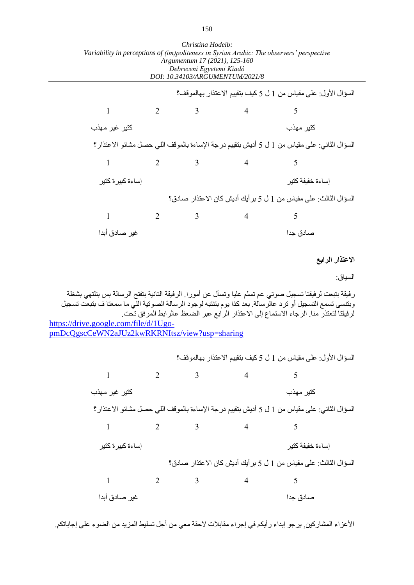|                                       |   | Christina Hodelo:<br>Argumentum 17 (2021), 125-160<br>Debreceni Egyetemi Kiadó<br>DOI: 10.34103/ARGUMENTUM/2021/8 |   | Variability in perceptions of (im)politeness in Syrian Arabic: The observers' perspective                                                                                                                                                                                                                        |                 |
|---------------------------------------|---|-------------------------------------------------------------------------------------------------------------------|---|------------------------------------------------------------------------------------------------------------------------------------------------------------------------------------------------------------------------------------------------------------------------------------------------------------------|-----------------|
|                                       |   |                                                                                                                   |   | السؤال الأول: على مقياس من 1 ل 5 كيف بتقييم الاعتذار بهالموقف؟                                                                                                                                                                                                                                                   |                 |
| 1                                     | 2 | 3                                                                                                                 | 4 | 5                                                                                                                                                                                                                                                                                                                |                 |
| كتير غير مهذب                         |   |                                                                                                                   |   | كتير مهذب                                                                                                                                                                                                                                                                                                        |                 |
|                                       |   |                                                                                                                   |   | السؤال الثاني: على مقياس من 1 ل 5 أديش بتقييم در جة الإساءة بالموقف اللي حصل مشانو الاعتذار ؟                                                                                                                                                                                                                    |                 |
| 1                                     | 2 | 3                                                                                                                 | 4 | 5                                                                                                                                                                                                                                                                                                                |                 |
| إساءة كبير ة كتير                     |   |                                                                                                                   |   | إساءة خفيفة كتير                                                                                                                                                                                                                                                                                                 |                 |
|                                       |   |                                                                                                                   |   | السؤال الثالث: على مقياس من 1 ل 5 بر أيك أديش كان الاعتذار صـادق؟                                                                                                                                                                                                                                                |                 |
| 1                                     | 2 | 3                                                                                                                 | 4 | 5                                                                                                                                                                                                                                                                                                                |                 |
| غير  صادق أبدا                        |   |                                                                                                                   |   | صنادق جدا                                                                                                                                                                                                                                                                                                        |                 |
|                                       |   |                                                                                                                   |   |                                                                                                                                                                                                                                                                                                                  | الاعتذار الرابع |
|                                       |   |                                                                                                                   |   |                                                                                                                                                                                                                                                                                                                  | السياق:         |
| https://drive.google.com/file/d/1Ugo- |   |                                                                                                                   |   | ر فيقة بتبعت لرفيقنا تسجيل صوتي عم تسلم عليا وتسأل عن أمورا. الرفيقة التانية بتفتح الرسالة بس بتلتهي بشغلة<br>وبتنسى تسمع التسجيل أو ترد عالرسالة. بعد كذا يوم بتنتبه لوجود الرسالة الصونية اللي ما سمعتا ف بتبعت تسجيل<br>لرفيقتا لتعتذر منا. الرجاء الاستماع إلى الاعتذار الرابع عبر الضعظ عالرابط المرفق تحت. |                 |

| Christina Hodeib:                                                                         |
|-------------------------------------------------------------------------------------------|
| Variability in perceptions of (im)politeness in Syrian Arabic: The observers' perspective |
| Argumentum 17 (2021), 125-160                                                             |
| Debreceni Egyetemi Kiadó                                                                  |
| DOI: 10.34103/ARGUMENTUM/2021/8                                                           |

[pmDcQgscCeWN2aJUz2kwRKRNItsz/view?usp=sharing](https://drive.google.com/file/d/1Ugo-pmDcQgscCeWN2aJUz2kwRKRNItsz/view?usp=sharing)

السؤال الأول: على مقياس من 1 ل 5 كيف بتقييم الاعتذار بهالموقف؟ 1 2 3 4 5 كتير مهذب كتير غير مهذب السؤال الثاني: على مقياس من 1 ل 5 أديش بتقييم درجة اإلساءة بالموقف اللي حصل مشانو االعتذار؟  $1 \t 2 \t 3 \t 4 \t 5$ إساءة خفيفة كتير إساءة كبيرة كتير السؤال الثالث: على مقياس من 1 ل 5 برأيك أديش كان االعتذار صادق؟ 1 2 3 4 5 صادق جدا غير صادق أبدا

الأعزاء المشاركين, يرجو إبداء رأيكم في إجراء مقابلات لاحقة معي من أجل تسليط المزيد من الضوء على إجاباتكم.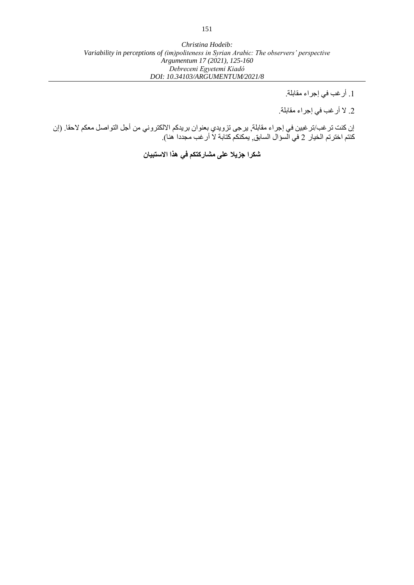.1 أرغب في إجراء مقابلة.

.2 ال أرغب في إجراء مقابلة.

إن كنت ترغب/ترغبين في إجراء مقابلة, يرجى تزويدي بعنوان بريدكم االلكتروني من أجل التواصل معكم الحقا. )إن كنتم اخترتم الخيار 2 في السؤال السابق, يمكنكم كتابة لا أر غب مجددا هنا).

**شكرا جزيال على مشاركتكم في هذا االستبيان**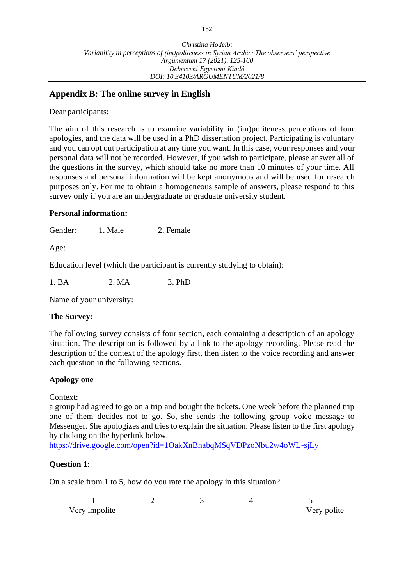# **Appendix B: The online survey in English**

Dear participants:

The aim of this research is to examine variability in (im)politeness perceptions of four apologies, and the data will be used in a PhD dissertation project. Participating is voluntary and you can opt out participation at any time you want. In this case, your responses and your personal data will not be recorded. However, if you wish to participate, please answer all of the questions in the survey, which should take no more than 10 minutes of your time. All responses and personal information will be kept anonymous and will be used for research purposes only. For me to obtain a homogeneous sample of answers, please respond to this survey only if you are an undergraduate or graduate university student.

## **Personal information:**

Gender: 1. Male 2. Female

Age:

Education level (which the participant is currently studying to obtain):

1. BA 2. MA 3. PhD

Name of your university:

## **The Survey:**

The following survey consists of four section, each containing a description of an apology situation. The description is followed by a link to the apology recording. Please read the description of the context of the apology first, then listen to the voice recording and answer each question in the following sections.

## **Apology one**

Context:

a group had agreed to go on a trip and bought the tickets. One week before the planned trip one of them decides not to go. So, she sends the following group voice message to Messenger. She apologizes and tries to explain the situation. Please listen to the first apology by clicking on the hyperlink below.

<https://drive.google.com/open?id=1OakXnBnabqMSqVDPzoNbu2w4oWL-sjLy>

## **Question 1:**

On a scale from 1 to 5, how do you rate the apology in this situation?

| Very impolite |  | Very polite |
|---------------|--|-------------|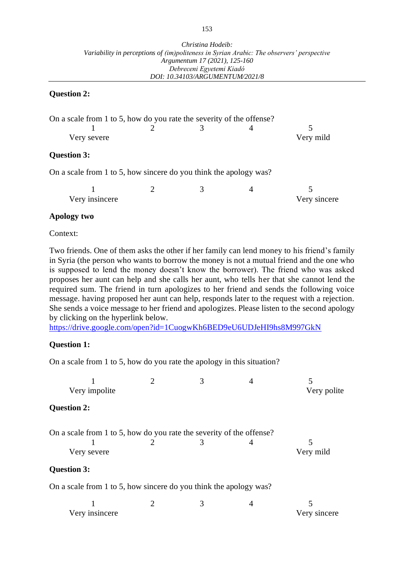#### **Question 2:**

| On a scale from 1 to 5, how do you rate the severity of the offense? |  |           |
|----------------------------------------------------------------------|--|-----------|
|                                                                      |  |           |
| Very severe                                                          |  | Very mild |
| <b>Question 3:</b>                                                   |  |           |
| On a scale from 1 to 5, how sincere do you think the apology was?    |  |           |

| Very insincere |  | Very sincere |
|----------------|--|--------------|

#### **Apology two**

Context:

Two friends. One of them asks the other if her family can lend money to his friend's family in Syria (the person who wants to borrow the money is not a mutual friend and the one who is supposed to lend the money doesn't know the borrower). The friend who was asked proposes her aunt can help and she calls her aunt, who tells her that she cannot lend the required sum. The friend in turn apologizes to her friend and sends the following voice message. having proposed her aunt can help, responds later to the request with a rejection. She sends a voice message to her friend and apologizes. Please listen to the second apology by clicking on the hyperlink below.

<https://drive.google.com/open?id=1CuogwKh6BED9eU6UDJeHI9hs8M997GkN>

#### **Question 1:**

On a scale from 1 to 5, how do you rate the apology in this situation?

|                                                                      | $\overline{2}$ | 3 |   |              |
|----------------------------------------------------------------------|----------------|---|---|--------------|
| Very impolite                                                        |                |   |   | Very polite  |
| <b>Question 2:</b>                                                   |                |   |   |              |
| On a scale from 1 to 5, how do you rate the severity of the offense? |                |   |   |              |
|                                                                      |                | 3 | 4 |              |
| Very severe                                                          |                |   |   | Very mild    |
| <b>Question 3:</b>                                                   |                |   |   |              |
| On a scale from 1 to 5, how sincere do you think the apology was?    |                |   |   |              |
|                                                                      |                | 3 | 4 |              |
| Very insincere                                                       |                |   |   | Very sincere |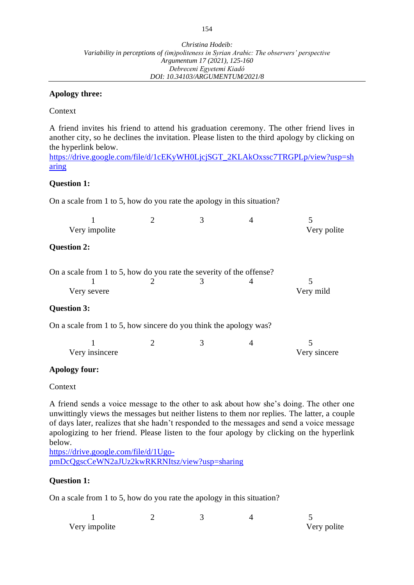## **Apology three:**

Context

A friend invites his friend to attend his graduation ceremony. The other friend lives in another city, so he declines the invitation. Please listen to the third apology by clicking on the hyperlink below.

[https://drive.google.com/file/d/1cEKyWH0LjcjSGT\\_2KLAkOxssc7TRGPLp/view?usp=sh](https://drive.google.com/file/d/1cEKyWH0LjcjSGT_2KLAkOxssc7TRGPLp/view?usp=sharing) [aring](https://drive.google.com/file/d/1cEKyWH0LjcjSGT_2KLAkOxssc7TRGPLp/view?usp=sharing)

## **Question 1:**

On a scale from 1 to 5, how do you rate the apology in this situation?

|                                                                      | $\overline{2}$ | 3 |   |              |
|----------------------------------------------------------------------|----------------|---|---|--------------|
| Very impolite                                                        |                |   |   | Very polite  |
| <b>Question 2:</b>                                                   |                |   |   |              |
| On a scale from 1 to 5, how do you rate the severity of the offense? |                |   |   |              |
|                                                                      |                | 3 |   | 5            |
| Very severe                                                          |                |   |   | Very mild    |
| <b>Question 3:</b>                                                   |                |   |   |              |
| On a scale from 1 to 5, how sincere do you think the apology was?    |                |   |   |              |
|                                                                      | 2              | 3 | 4 |              |
| Very insincere                                                       |                |   |   | Very sincere |
| $\lambda$ nology form.                                               |                |   |   |              |

## **Apology four:**

Context

A friend sends a voice message to the other to ask about how she's doing. The other one unwittingly views the messages but neither listens to them nor replies. The latter, a couple of days later, realizes that she hadn't responded to the messages and send a voice message apologizing to her friend. Please listen to the four apology by clicking on the hyperlink below.

[https://drive.google.com/file/d/1Ugo](https://drive.google.com/file/d/1Ugo-pmDcQgscCeWN2aJUz2kwRKRNItsz/view?usp=sharing)[pmDcQgscCeWN2aJUz2kwRKRNItsz/view?usp=sharing](https://drive.google.com/file/d/1Ugo-pmDcQgscCeWN2aJUz2kwRKRNItsz/view?usp=sharing)

## **Question 1:**

On a scale from 1 to 5, how do you rate the apology in this situation?

| Very impolite |  | Very polite |
|---------------|--|-------------|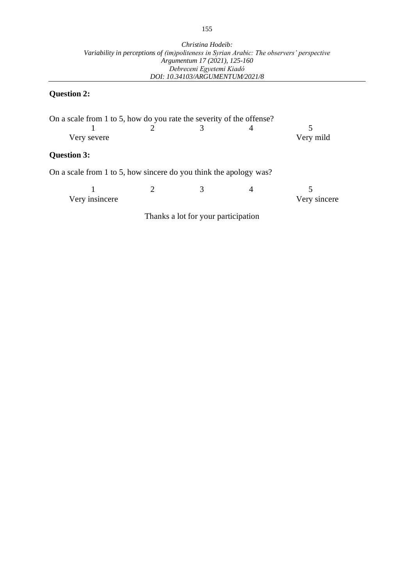# **Question 2:**

| On a scale from 1 to 5, how do you rate the severity of the offense? |                                     |   |              |
|----------------------------------------------------------------------|-------------------------------------|---|--------------|
|                                                                      | 3                                   | 4 |              |
| Very severe                                                          |                                     |   | Very mild    |
| <b>Question 3:</b>                                                   |                                     |   |              |
| On a scale from 1 to 5, how sincere do you think the apology was?    |                                     |   |              |
|                                                                      |                                     |   |              |
| Very insincere                                                       |                                     |   | Very sincere |
|                                                                      | Thanks a lot for your participation |   |              |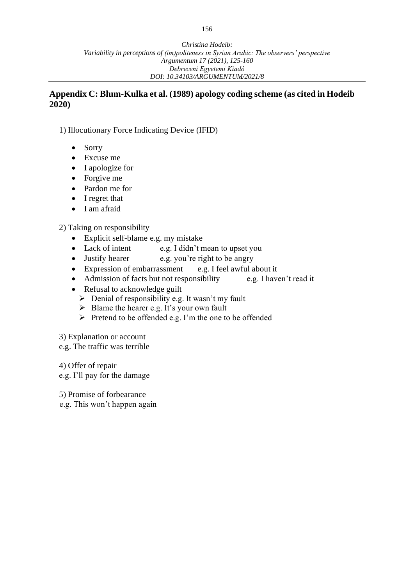# **Appendix C: Blum-Kulka et al. (1989) apology coding scheme (as cited in Hodeib 2020)**

1) Illocutionary Force Indicating Device (IFID)

- Sorry
- Excuse me
- I apologize for
- Forgive me
- Pardon me for
- I regret that
- I am afraid

2) Taking on responsibility

- Explicit self-blame e.g. my mistake
- Lack of intent e.g. I didn't mean to upset you
- Justify hearer e.g. you're right to be angry
- Expression of embarrassment e.g. I feel awful about it
- Admission of facts but not responsibility e.g. I haven't read it
- Refusal to acknowledge guilt
	- ➢ Denial of responsibility e.g. It wasn't my fault
	- ➢ Blame the hearer e.g. It's your own fault
	- ➢ Pretend to be offended e.g. I'm the one to be offended
- 3) Explanation or account
- e.g. The traffic was terrible

4) Offer of repair e.g. I'll pay for the damage

5) Promise of forbearance

e.g. This won't happen again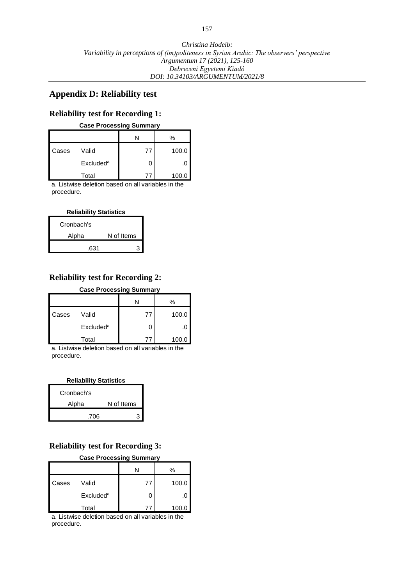#### **Appendix D: Reliability test**

#### **Reliability test for Recording 1:**

#### **Case Processing Summary**

|       |                             |    | %     |
|-------|-----------------------------|----|-------|
| Cases | Valid                       | 77 | 100.0 |
|       | <b>Excluded<sup>a</sup></b> |    |       |
|       | Total                       |    | 100.0 |

a. Listwise deletion based on all variables in the procedure.

#### **Reliability Statistics**

| Cronbach's |            |
|------------|------------|
| Alpha      | N of Items |
| .631       |            |

## **Reliability test for Recording 2:**

#### **Case Processing Summary**

|       |                       |    | %     |
|-------|-----------------------|----|-------|
| Cases | Valid                 | 77 | 100.0 |
|       | Excluded <sup>a</sup> |    | .u    |
|       | Total                 | 77 | 100.0 |

a. Listwise deletion based on all variables in the procedure.

#### **Reliability Statistics**

| Cronbach's |            |
|------------|------------|
| Alpha      | N of Items |
| .706       |            |

# **Reliability test for Recording 3:**

| <b>Case Processing Summary</b> |                       |    |       |
|--------------------------------|-----------------------|----|-------|
|                                |                       |    | %     |
| Cases                          | Valid                 | 77 | 100.0 |
|                                | Excluded <sup>a</sup> |    |       |
|                                | Total                 | 7. | 100.0 |

a. Listwise deletion based on all variables in the procedure.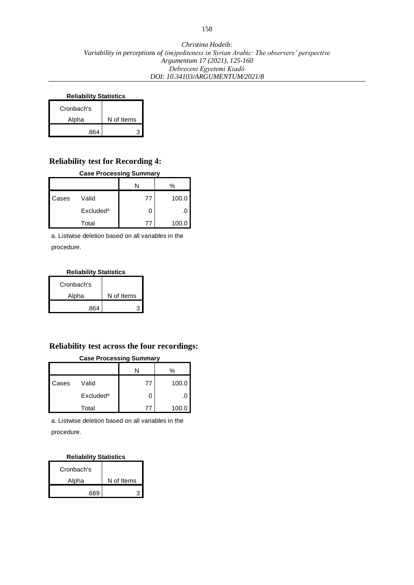#### **Reliability Statistics**

| Cronbach's |            |
|------------|------------|
| Alpha      | N of Items |
| .864       |            |

## **Reliability test for Recording 4:**

#### **Case Processing Summary**

|       |                       |          | %     |
|-------|-----------------------|----------|-------|
| Cases | Valid                 | 77       | 100.0 |
|       | Excluded <sup>a</sup> |          |       |
|       | Total                 | $\prime$ | 100.C |

a. Listwise deletion based on all variables in the procedure.

#### **Reliability Statistics**

| Cronbach's |            |
|------------|------------|
| Alpha      | N of Items |
| .864       |            |

## **Reliability test across the four recordings:**

| <b>Case Processing Summary</b> |                       |    |       |
|--------------------------------|-----------------------|----|-------|
|                                |                       |    | %     |
| Cases                          | Valid                 | 77 | 100.0 |
|                                | Excluded <sup>a</sup> |    |       |
|                                | Total                 |    | 100.0 |

a. Listwise deletion based on all variables in the procedure.

#### **Reliability Statistics**

| Cronbach's |            |  |
|------------|------------|--|
| Alpha      | N of Items |  |
| 689        |            |  |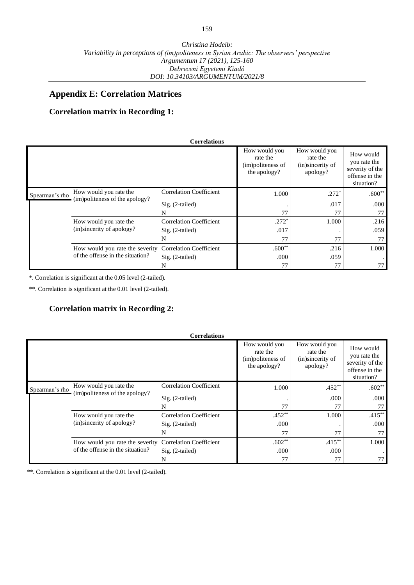## **Appendix E: Correlation Matrices**

## **Correlation matrix in Recording 1:**

|                |                                                                     | <b>Correlations</b>            |                                                                |                                                           |                                                                              |
|----------------|---------------------------------------------------------------------|--------------------------------|----------------------------------------------------------------|-----------------------------------------------------------|------------------------------------------------------------------------------|
|                |                                                                     |                                | How would you<br>rate the<br>(im)politeness of<br>the apology? | How would you<br>rate the<br>(in)sincerity of<br>apology? | How would<br>you rate the<br>severity of the<br>offense in the<br>situation? |
| Spearman's rho | How would you rate the<br>(im)politeness of the apology?            | <b>Correlation Coefficient</b> | 1.000                                                          | $.272*$                                                   | $.600**$                                                                     |
|                |                                                                     | $Sig. (2-tailed)$              |                                                                | .017                                                      | .000                                                                         |
|                |                                                                     | N                              | 77                                                             | 77                                                        | 77                                                                           |
|                | How would you rate the<br>(in)sincerity of apology?                 | <b>Correlation Coefficient</b> | $.272*$                                                        | 1.000                                                     | .216                                                                         |
|                |                                                                     | $Sig. (2-tailed)$              | .017                                                           |                                                           | .059                                                                         |
|                |                                                                     | N                              | 77                                                             | 77                                                        | 77                                                                           |
|                | How would you rate the severity<br>of the offense in the situation? | <b>Correlation Coefficient</b> | $.600**$                                                       | .216                                                      | 1.000                                                                        |
|                |                                                                     | $Sig. (2-tailed)$              | .000                                                           | .059                                                      |                                                                              |
|                |                                                                     | N                              | 77                                                             | 77                                                        | 77                                                                           |

\*. Correlation is significant at the 0.05 level (2-tailed).

\*\*. Correlation is significant at the 0.01 level (2-tailed).

# **Correlation matrix in Recording 2:**

|                |                                                                     | <b>Correlations</b>            |                                                                |                                                           |                                                                              |
|----------------|---------------------------------------------------------------------|--------------------------------|----------------------------------------------------------------|-----------------------------------------------------------|------------------------------------------------------------------------------|
|                |                                                                     |                                | How would you<br>rate the<br>(im)politeness of<br>the apology? | How would you<br>rate the<br>(in)sincerity of<br>apology? | How would<br>you rate the<br>severity of the<br>offense in the<br>situation? |
| Spearman's rho | How would you rate the<br>(im)politeness of the apology?            | <b>Correlation Coefficient</b> | 1.000                                                          | $.452**$                                                  | $.602**$                                                                     |
|                |                                                                     | $Sig. (2-tailed)$              |                                                                | .000                                                      | .000                                                                         |
|                |                                                                     | N                              | 77                                                             | 77                                                        | 77                                                                           |
|                | How would you rate the<br>(in)sincerity of apology?                 | <b>Correlation Coefficient</b> | $.452**$                                                       | 1.000                                                     | $.415***$                                                                    |
|                |                                                                     | $Sig. (2-tailed)$              | .000                                                           |                                                           | .000                                                                         |
|                |                                                                     | N                              | 77                                                             | 77                                                        | 77                                                                           |
|                | How would you rate the severity<br>of the offense in the situation? | <b>Correlation Coefficient</b> | $.602**$                                                       | $.415***$                                                 | 1.000                                                                        |
|                |                                                                     | $Sig. (2-tailed)$              | .000                                                           | .000                                                      |                                                                              |
|                |                                                                     | N                              | 77                                                             |                                                           | 77                                                                           |

\*\*. Correlation is significant at the 0.01 level (2-tailed).